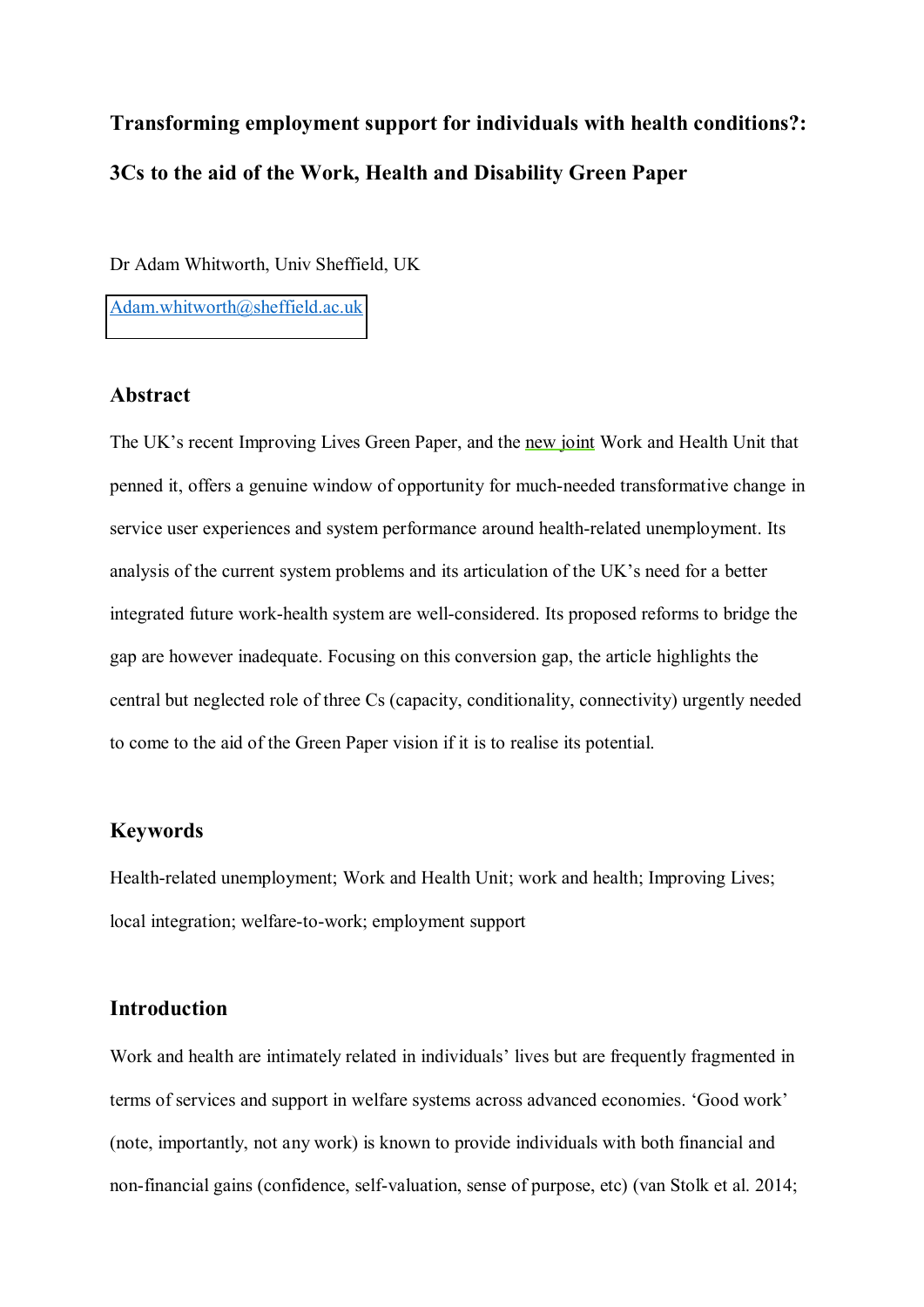# **Transforming employment support for individuals with health conditions?: 3Cs to the aid of the Work, Health and Disability Green Paper**

Dr Adam Whitworth, Univ Sheffield, UK

[Adam.whitworth@sheffield.ac.uk](mailto:Adam.whitworth@sheffield.ac.uk)

#### **Abstract**

The UK's recent Improving Lives Green Paper, and the new joint Work and Health Unit that penned it, offers a genuine window of opportunity for much-needed transformative change in service user experiences and system performance around health-related unemployment. Its analysis of the current system problems and its articulation of the UK's need for a better integrated future work-health system are well-considered. Its proposed reforms to bridge the gap are however inadequate. Focusing on this conversion gap, the article highlights the central but neglected role of three Cs (capacity, conditionality, connectivity) urgently needed to come to the aid of the Green Paper vision if it is to realise its potential.

### **Keywords**

Health-related unemployment; Work and Health Unit; work and health; Improving Lives; local integration; welfare-to-work; employment support

#### **Introduction**

Work and health are intimately related in individuals' lives but are frequently fragmented in terms of services and support in welfare systems across advanced economies. 'Good work' (note, importantly, not any work) is known to provide individuals with both financial and non-financial gains (confidence, self-valuation, sense of purpose, etc) (van Stolk et al. 2014;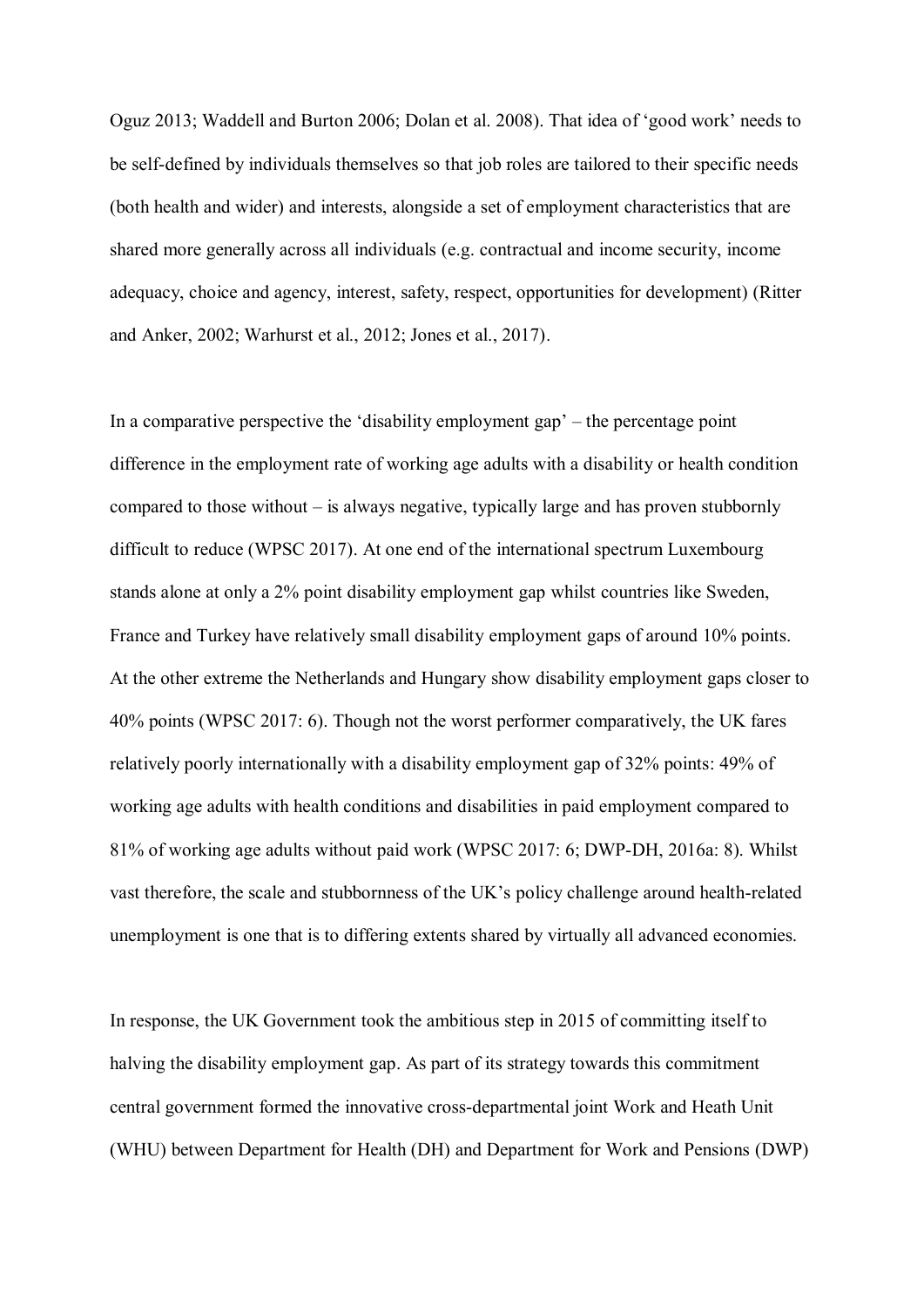Oguz 2013; Waddell and Burton 2006; Dolan et al. 2008). That idea of 'good work' needs to be self-defined by individuals themselves so that job roles are tailored to their specific needs (both health and wider) and interests, alongside a set of employment characteristics that are shared more generally across all individuals (e.g. contractual and income security, income adequacy, choice and agency, interest, safety, respect, opportunities for development) (Ritter and Anker, 2002; Warhurst et al., 2012; Jones et al., 2017).

In a comparative perspective the 'disability employment gap'  $-$  the percentage point difference in the employment rate of working age adults with a disability or health condition compared to those without  $-\dot{i}$  is always negative, typically large and has proven stubbornly difficult to reduce (WPSC 2017). At one end of the international spectrum Luxembourg stands alone at only a 2% point disability employment gap whilst countries like Sweden, France and Turkey have relatively small disability employment gaps of around 10% points. At the other extreme the Netherlands and Hungary show disability employment gaps closer to 40% points (WPSC 2017: 6). Though not the worst performer comparatively, the UK fares relatively poorly internationally with a disability employment gap of 32% points: 49% of working age adults with health conditions and disabilities in paid employment compared to 81% of working age adults without paid work (WPSC 2017: 6; DWP-DH, 2016a: 8). Whilst vast therefore, the scale and stubbornness of the UK's policy challenge around health-related unemployment is one that is to differing extents shared by virtually all advanced economies.

In response, the UK Government took the ambitious step in 2015 of committing itself to halving the disability employment gap. As part of its strategy towards this commitment central government formed the innovative cross-departmental joint Work and Heath Unit (WHU) between Department for Health (DH) and Department for Work and Pensions (DWP)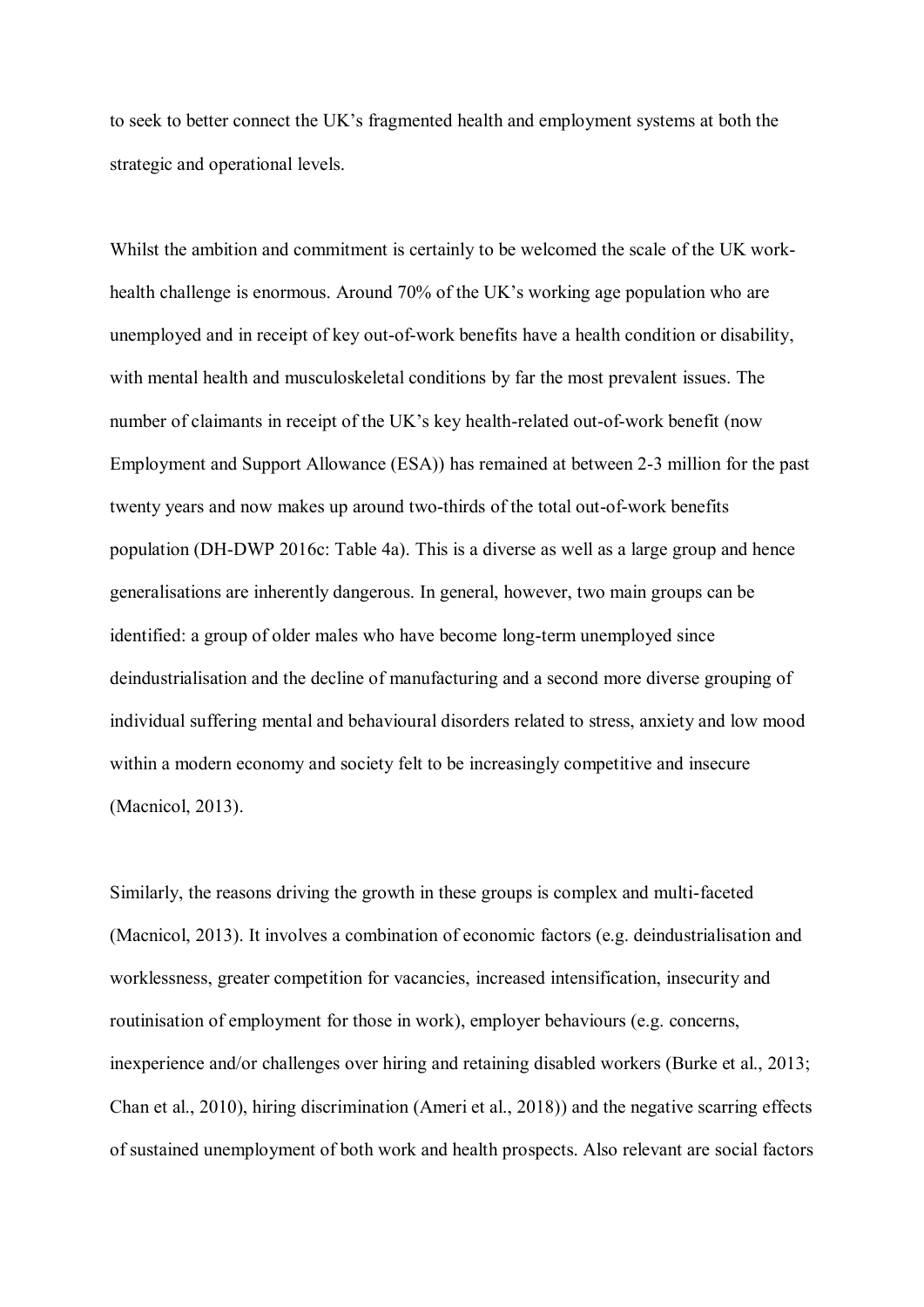to seek to better connect the UK's fragmented health and employment systems at both the strategic and operational levels.

Whilst the ambition and commitment is certainly to be welcomed the scale of the UK workhealth challenge is enormous. Around 70% of the UK's working age population who are unemployed and in receipt of key out-of-work benefits have a health condition or disability, with mental health and musculoskeletal conditions by far the most prevalent issues. The number of claimants in receipt of the UK's key health-related out-of-work benefit (now Employment and Support Allowance (ESA)) has remained at between 2-3 million for the past twenty years and now makes up around two-thirds of the total out-of-work benefits population (DH-DWP 2016c: Table 4a). This is a diverse as well as a large group and hence generalisations are inherently dangerous. In general, however, two main groups can be identified: a group of older males who have become long-term unemployed since deindustrialisation and the decline of manufacturing and a second more diverse grouping of individual suffering mental and behavioural disorders related to stress, anxiety and low mood within a modern economy and society felt to be increasingly competitive and insecure (Macnicol, 2013).

Similarly, the reasons driving the growth in these groups is complex and multi-faceted (Macnicol, 2013). It involves a combination of economic factors (e.g. deindustrialisation and worklessness, greater competition for vacancies, increased intensification, insecurity and routinisation of employment for those in work), employer behaviours (e.g. concerns, inexperience and/or challenges over hiring and retaining disabled workers (Burke et al., 2013; Chan et al., 2010), hiring discrimination (Ameri et al., 2018)) and the negative scarring effects of sustained unemployment of both work and health prospects. Also relevant are social factors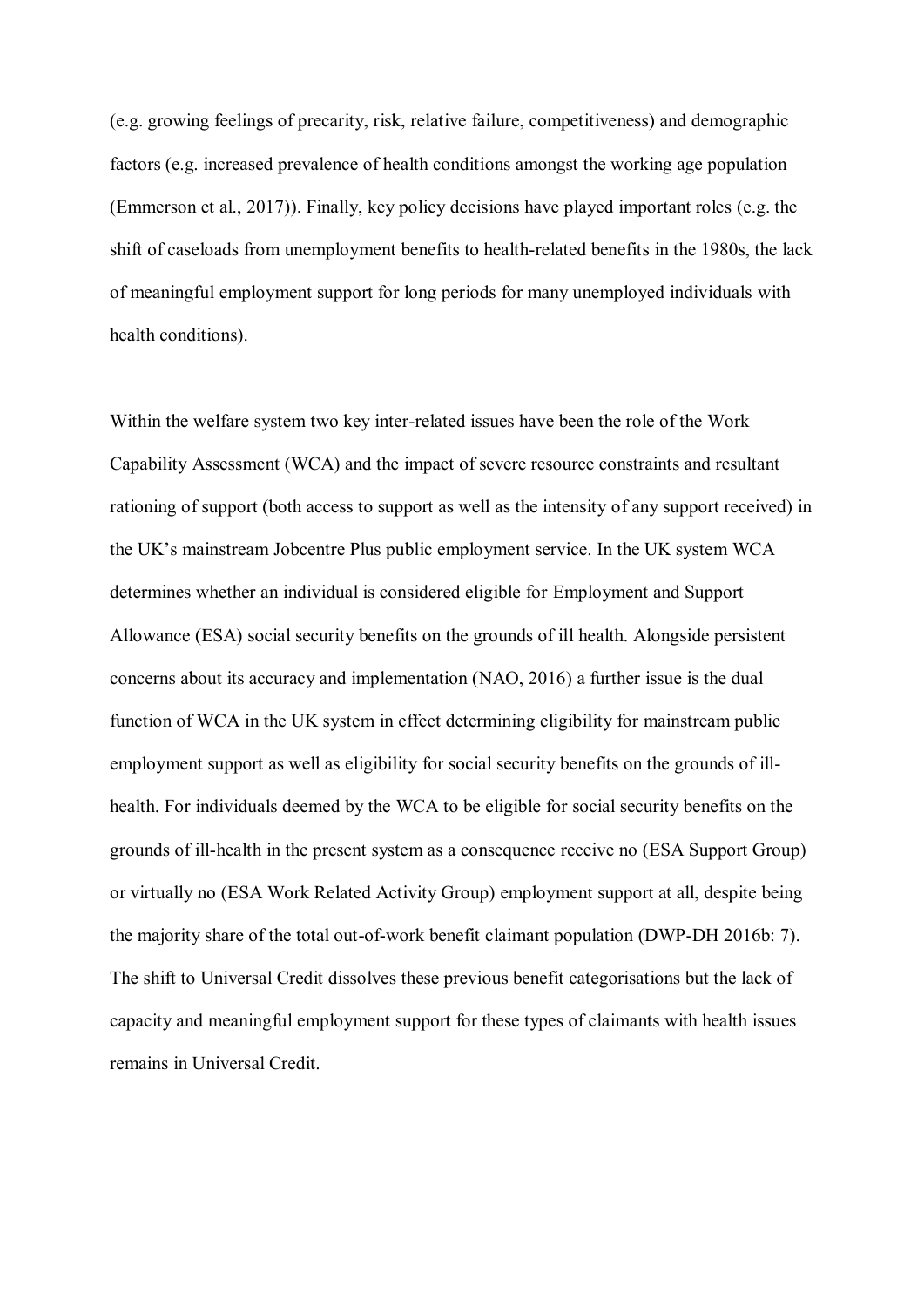(e.g. growing feelings of precarity, risk, relative failure, competitiveness) and demographic factors (e.g. increased prevalence of health conditions amongst the working age population (Emmerson et al., 2017)). Finally, key policy decisions have played important roles (e.g. the shift of caseloads from unemployment benefits to health-related benefits in the 1980s, the lack of meaningful employment support for long periods for many unemployed individuals with health conditions).

Within the welfare system two key inter-related issues have been the role of the Work Capability Assessment (WCA) and the impact of severe resource constraints and resultant rationing of support (both access to support as well as the intensity of any support received) in the UK's mainstream Jobcentre Plus public employment service. In the UK system WCA determines whether an individual is considered eligible for Employment and Support Allowance (ESA) social security benefits on the grounds of ill health. Alongside persistent concerns about its accuracy and implementation (NAO, 2016) a further issue is the dual function of WCA in the UK system in effect determining eligibility for mainstream public employment support as well as eligibility for social security benefits on the grounds of illhealth. For individuals deemed by the WCA to be eligible for social security benefits on the grounds of ill-health in the present system as a consequence receive no (ESA Support Group) or virtually no (ESA Work Related Activity Group) employment support at all, despite being the majority share of the total out-of-work benefit claimant population (DWP-DH 2016b: 7). The shift to Universal Credit dissolves these previous benefit categorisations but the lack of capacity and meaningful employment support for these types of claimants with health issues remains in Universal Credit.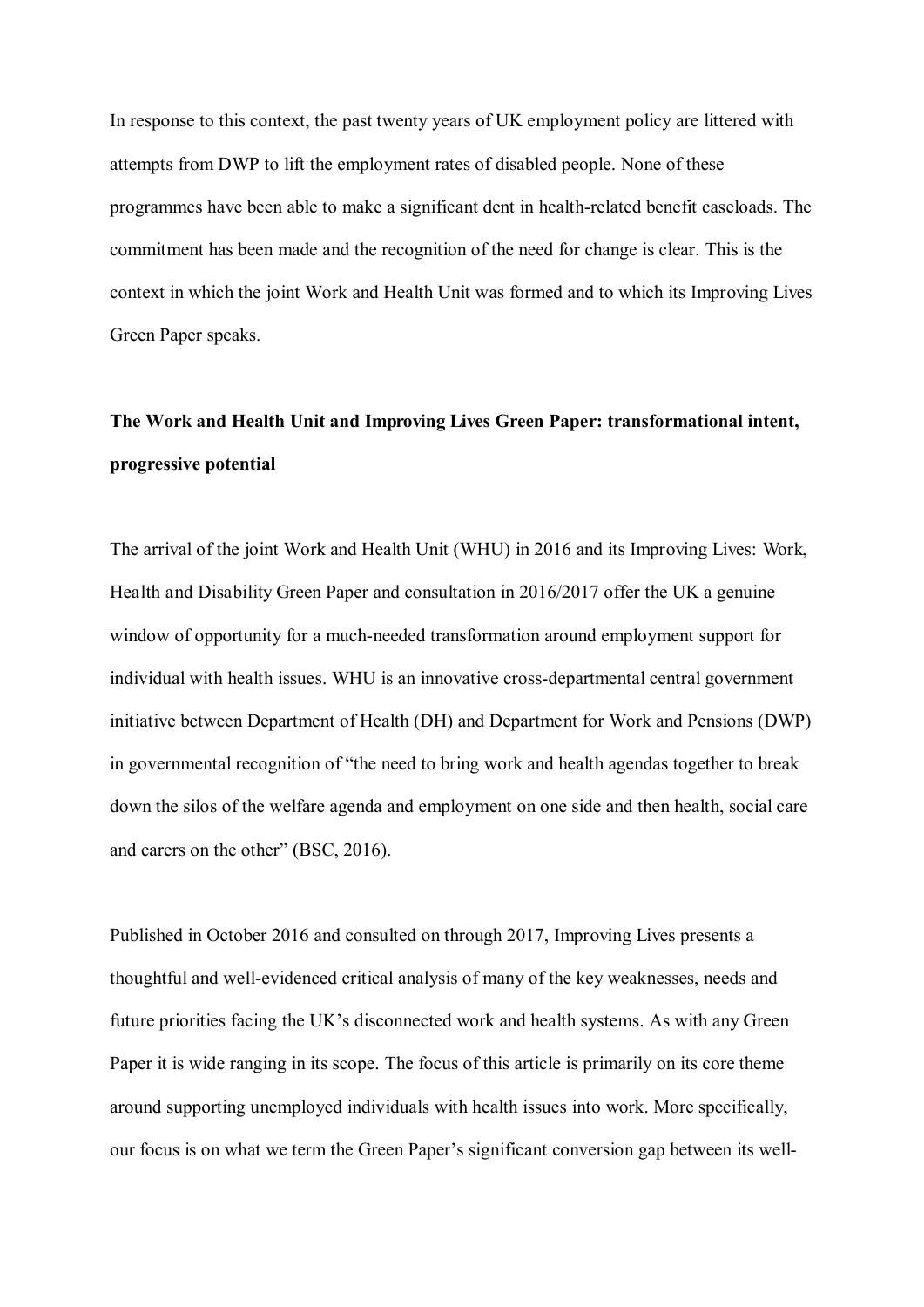In response to this context, the past twenty years of UK employment policy are littered with attempts from DWP to lift the employment rates of disabled people. None of these programmes have been able to make a significant dent in health-related benefit caseloads. The commitment has been made and the recognition of the need for change is clear. This is the context in which the joint Work and Health Unit was formed and to which its Improving Lives Green Paper speaks.

# **The Work and Health Unit and Improving Lives Green Paper: transformational intent, progressive potential**

The arrival of the joint Work and Health Unit (WHU) in 2016 and its Improving Lives: Work, Health and Disability Green Paper and consultation in 2016/2017 offer the UK a genuine window of opportunity for a much-needed transformation around employment support for individual with health issues. WHU is an innovative cross-departmental central government initiative between Department of Health (DH) and Department for Work and Pensions (DWP) in governmental recognition of "the need to bring work and health agendas together to break down the silos of the welfare agenda and employment on one side and then health, social care and carers on the other" (BSC, 2016).

Published in October 2016 and consulted on through 2017, Improving Lives presents a thoughtful and well-evidenced critical analysis of many of the key weaknesses, needs and future priorities facing the UK's disconnected work and health systems. As with any Green Paper it is wide ranging in its scope. The focus of this article is primarily on its core theme around supporting unemployed individuals with health issues into work. More specifically, our focus is on what we term the Green Paper's significant conversion gap between its well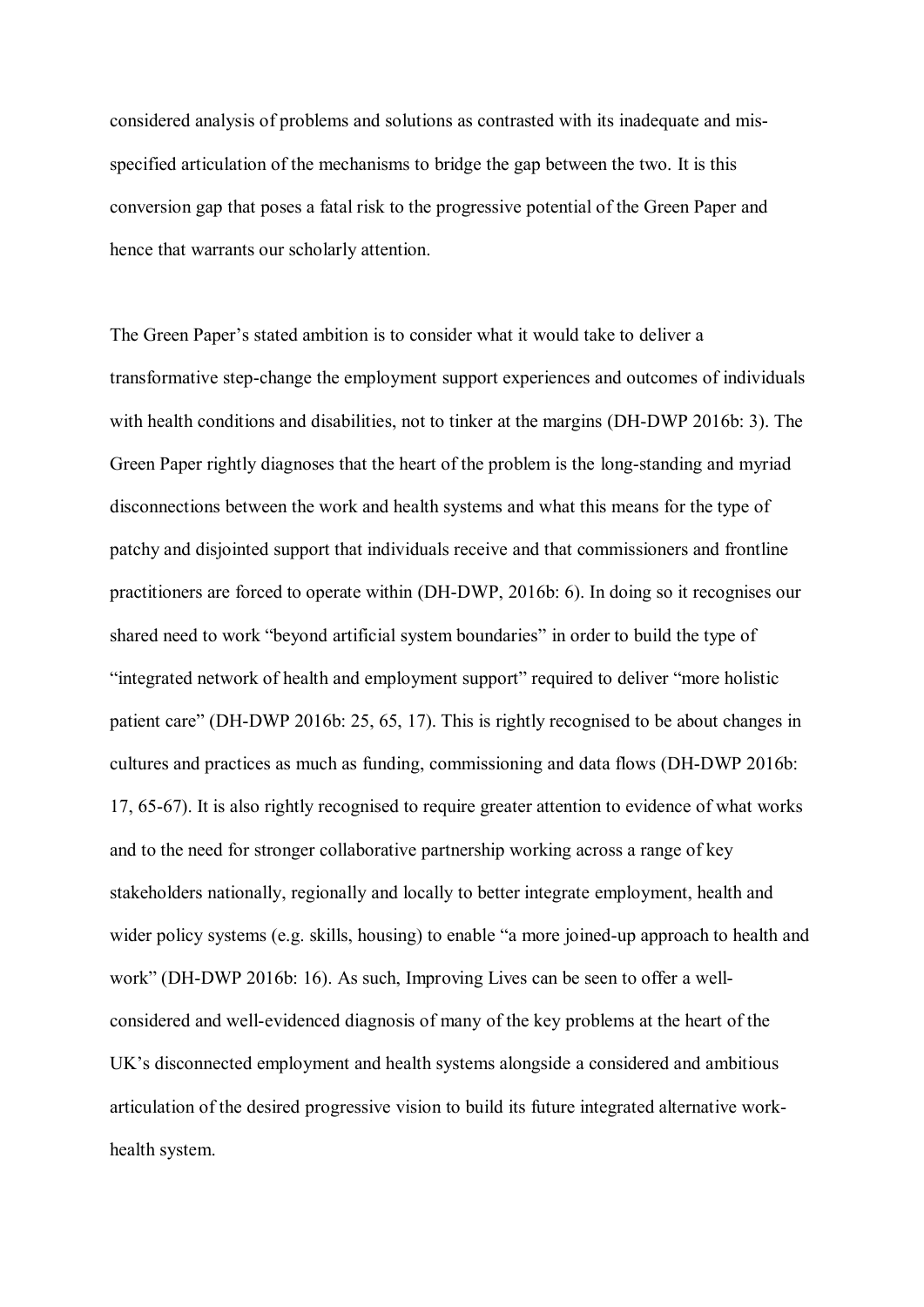considered analysis of problems and solutions as contrasted with its inadequate and misspecified articulation of the mechanisms to bridge the gap between the two. It is this conversion gap that poses a fatal risk to the progressive potential of the Green Paper and hence that warrants our scholarly attention.

The Green Paper's stated ambition is to consider what it would take to deliver a transformative step-change the employment support experiences and outcomes of individuals with health conditions and disabilities, not to tinker at the margins (DH-DWP 2016b: 3). The Green Paper rightly diagnoses that the heart of the problem is the long-standing and myriad disconnections between the work and health systems and what this means for the type of patchy and disjointed support that individuals receive and that commissioners and frontline practitioners are forced to operate within (DH-DWP, 2016b: 6). In doing so it recognises our shared need to work "beyond artificial system boundaries" in order to build the type of "integrated network of health and employment support" required to deliver "more holistic patient care" (DH-DWP 2016b: 25, 65, 17). This is rightly recognised to be about changes in cultures and practices as much as funding, commissioning and data flows (DH-DWP 2016b: 17, 65-67). It is also rightly recognised to require greater attention to evidence of what works and to the need for stronger collaborative partnership working across a range of key stakeholders nationally, regionally and locally to better integrate employment, health and wider policy systems (e.g. skills, housing) to enable "a more joined-up approach to health and work" (DH-DWP 2016b: 16). As such, Improving Lives can be seen to offer a wellconsidered and well-evidenced diagnosis of many of the key problems at the heart of the UK's disconnected employment and health systems alongside a considered and ambitious articulation of the desired progressive vision to build its future integrated alternative workhealth system.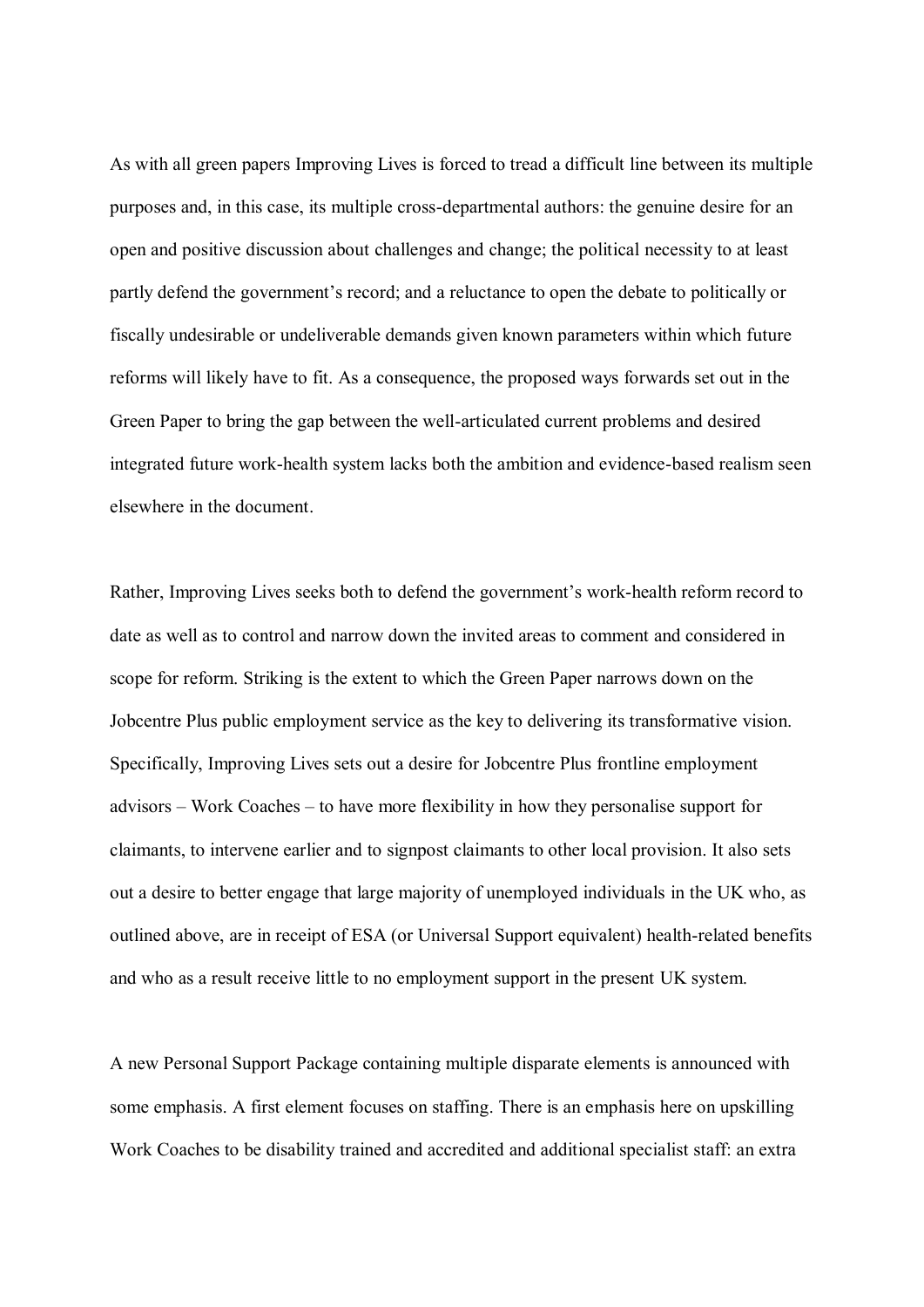As with all green papers Improving Lives is forced to tread a difficult line between its multiple purposes and, in this case, its multiple cross-departmental authors: the genuine desire for an open and positive discussion about challenges and change; the political necessity to at least partly defend the government's record; and a reluctance to open the debate to politically or fiscally undesirable or undeliverable demands given known parameters within which future reforms will likely have to fit. As a consequence, the proposed ways forwards set out in the Green Paper to bring the gap between the well-articulated current problems and desired integrated future work-health system lacks both the ambition and evidence-based realism seen elsewhere in the document.

Rather, Improving Lives seeks both to defend the government's work-health reform record to date as well as to control and narrow down the invited areas to comment and considered in scope for reform. Striking is the extent to which the Green Paper narrows down on the Jobcentre Plus public employment service as the key to delivering its transformative vision. Specifically, Improving Lives sets out a desire for Jobcentre Plus frontline employment  $advisors - Work Coaches - to have more flexibility in how they personalise support for$ claimants, to intervene earlier and to signpost claimants to other local provision. It also sets out a desire to better engage that large majority of unemployed individuals in the UK who, as outlined above, are in receipt of ESA (or Universal Support equivalent) health-related benefits and who as a result receive little to no employment support in the present UK system.

A new Personal Support Package containing multiple disparate elements is announced with some emphasis. A first element focuses on staffing. There is an emphasis here on upskilling Work Coaches to be disability trained and accredited and additional specialist staff: an extra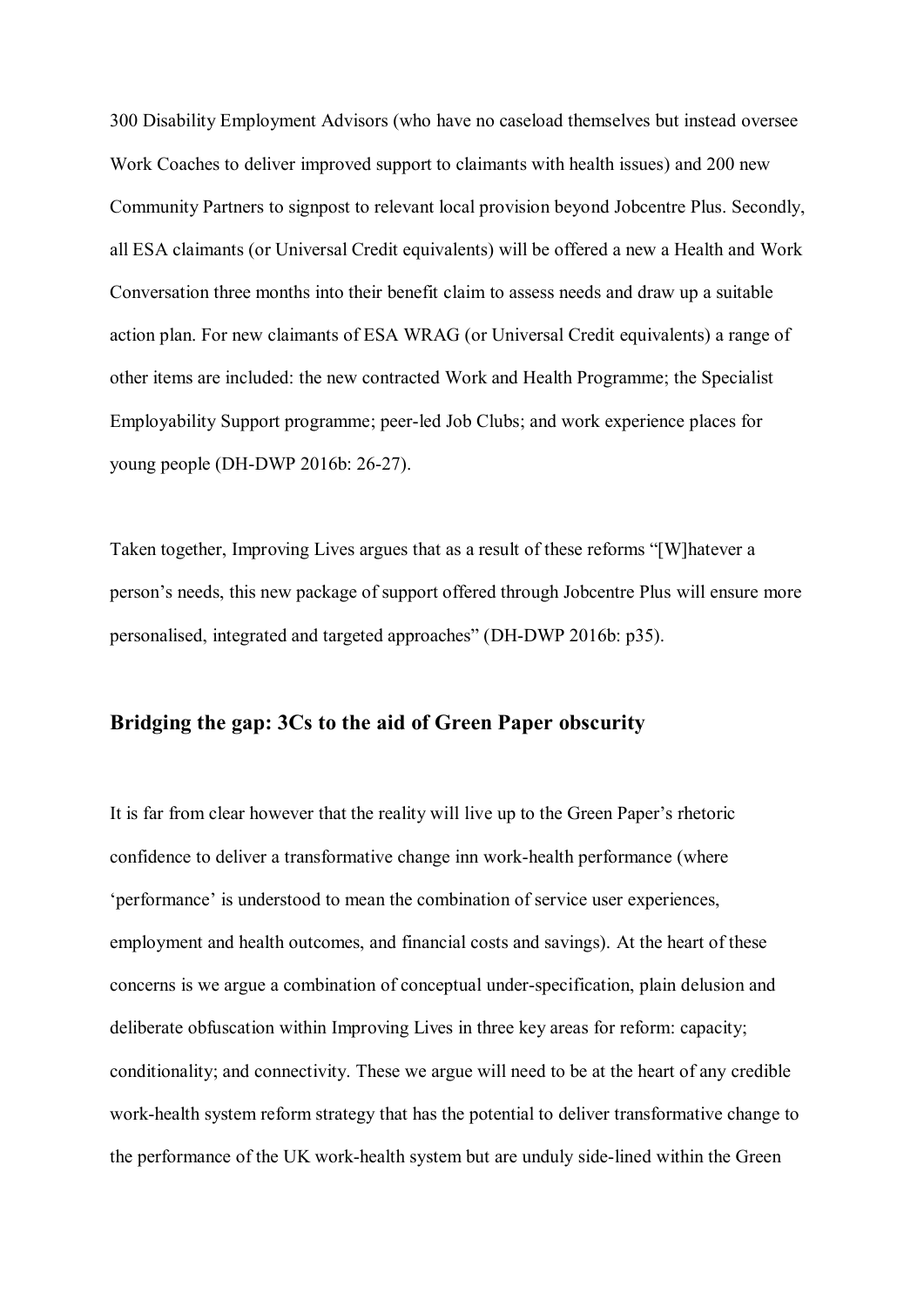300 Disability Employment Advisors (who have no caseload themselves but instead oversee Work Coaches to deliver improved support to claimants with health issues) and 200 new Community Partners to signpost to relevant local provision beyond Jobcentre Plus. Secondly, all ESA claimants (or Universal Credit equivalents) will be offered a new a Health and Work Conversation three months into their benefit claim to assess needs and draw up a suitable action plan. For new claimants of ESA WRAG (or Universal Credit equivalents) a range of other items are included: the new contracted Work and Health Programme; the Specialist Employability Support programme; peer-led Job Clubs; and work experience places for young people (DH-DWP 2016b: 26-27).

Taken together, Improving Lives argues that as a result of these reforms "[W] hatever a person's needs, this new package of support offered through Jobcentre Plus will ensure more personalised, integrated and targeted approaches" (DH-DWP 2016b: p35).

### **Bridging the gap: 3Cs to the aid of Green Paper obscurity**

It is far from clear however that the reality will live up to the Green Paper's rhetoric confidence to deliver a transformative change inn work-health performance (where 'performance' is understood to mean the combination of service user experiences, employment and health outcomes, and financial costs and savings). At the heart of these concerns is we argue a combination of conceptual under-specification, plain delusion and deliberate obfuscation within Improving Lives in three key areas for reform: capacity; conditionality; and connectivity. These we argue will need to be at the heart of any credible work-health system reform strategy that has the potential to deliver transformative change to the performance of the UK work-health system but are unduly side-lined within the Green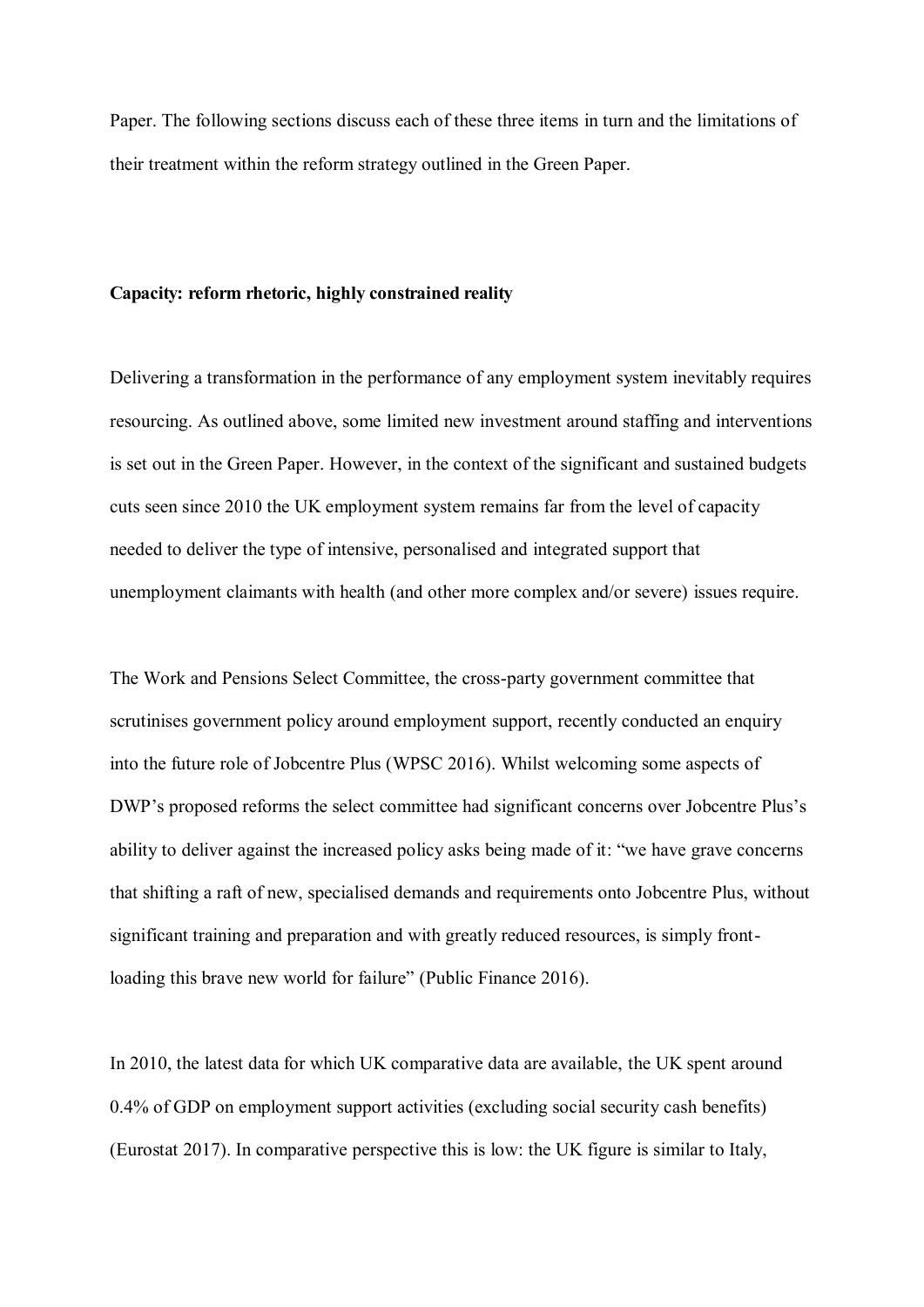Paper. The following sections discuss each of these three items in turn and the limitations of their treatment within the reform strategy outlined in the Green Paper.

#### **Capacity: reform rhetoric, highly constrained reality**

Delivering a transformation in the performance of any employment system inevitably requires resourcing. As outlined above, some limited new investment around staffing and interventions is set out in the Green Paper. However, in the context of the significant and sustained budgets cuts seen since 2010 the UK employment system remains far from the level of capacity needed to deliver the type of intensive, personalised and integrated support that unemployment claimants with health (and other more complex and/or severe) issues require.

The Work and Pensions Select Committee, the cross-party government committee that scrutinises government policy around employment support, recently conducted an enquiry into the future role of Jobcentre Plus (WPSC 2016). Whilst welcoming some aspects of DWP's proposed reforms the select committee had significant concerns over Jobcentre Plus's ability to deliver against the increased policy asks being made of it: "we have grave concerns" that shifting a raft of new, specialised demands and requirements onto Jobcentre Plus, without significant training and preparation and with greatly reduced resources, is simply frontloading this brave new world for failure" (Public Finance 2016).

In 2010, the latest data for which UK comparative data are available, the UK spent around 0.4% of GDP on employment support activities (excluding social security cash benefits) (Eurostat 2017). In comparative perspective this is low: the UK figure is similar to Italy,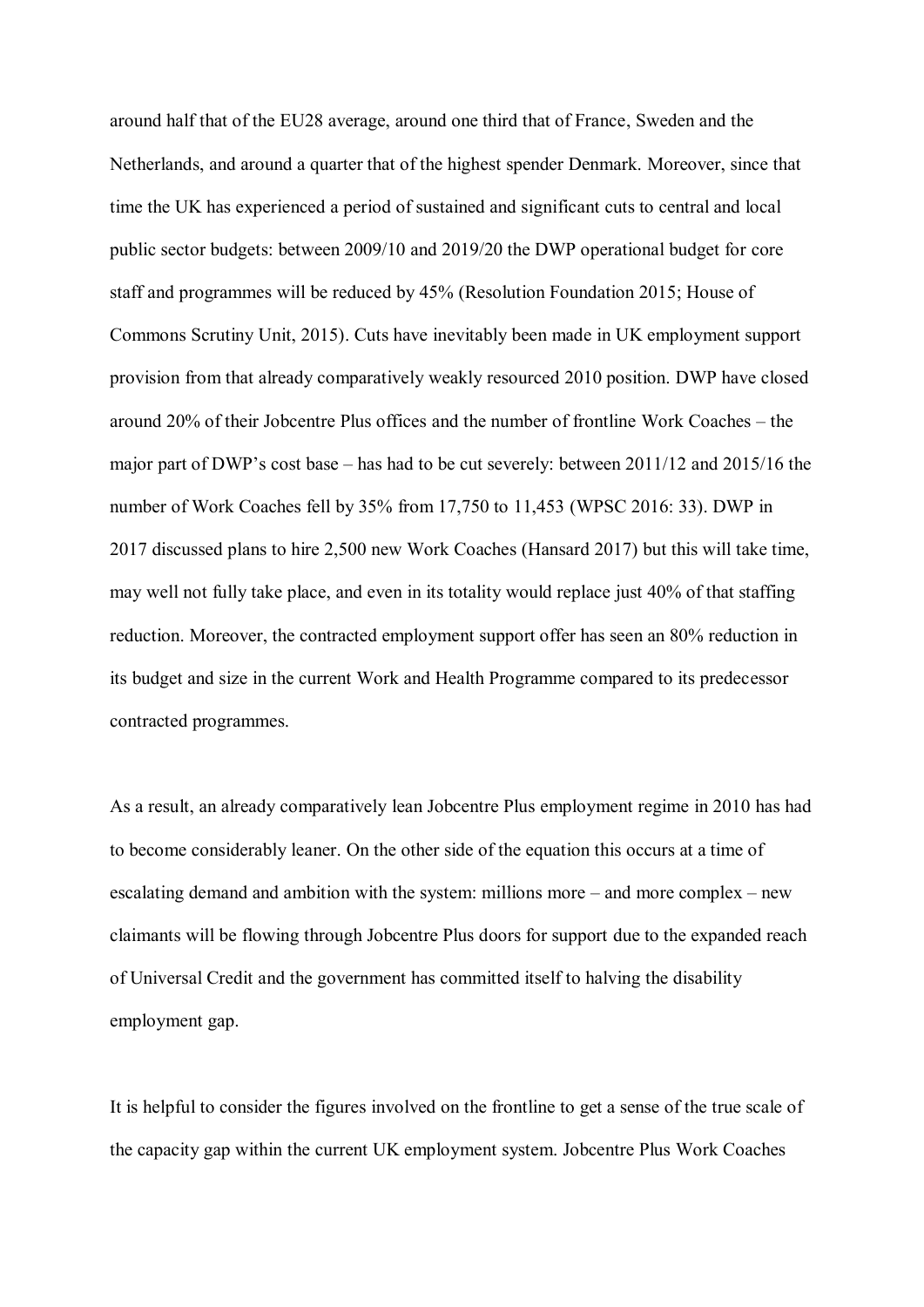around half that of the EU28 average, around one third that of France, Sweden and the Netherlands, and around a quarter that of the highest spender Denmark. Moreover, since that time the UK has experienced a period of sustained and significant cuts to central and local public sector budgets: between 2009/10 and 2019/20 the DWP operational budget for core staff and programmes will be reduced by 45% (Resolution Foundation 2015; House of Commons Scrutiny Unit, 2015). Cuts have inevitably been made in UK employment support provision from that already comparatively weakly resourced 2010 position. DWP have closed around  $20\%$  of their Jobcentre Plus offices and the number of frontline Work Coaches  $-$  the major part of DWP's cost base  $-$  has had to be cut severely: between 2011/12 and 2015/16 the number of Work Coaches fell by 35% from 17,750 to 11,453 (WPSC 2016: 33). DWP in 2017 discussed plans to hire 2,500 new Work Coaches (Hansard 2017) but this will take time, may well not fully take place, and even in its totality would replace just 40% of that staffing reduction. Moreover, the contracted employment support offer has seen an 80% reduction in its budget and size in the current Work and Health Programme compared to its predecessor contracted programmes.

As a result, an already comparatively lean Jobcentre Plus employment regime in 2010 has had to become considerably leaner. On the other side of the equation this occurs at a time of escalating demand and ambition with the system: millions more  $-$  and more complex  $-$  new claimants will be flowing through Jobcentre Plus doors for support due to the expanded reach of Universal Credit and the government has committed itself to halving the disability employment gap.

It is helpful to consider the figures involved on the frontline to get a sense of the true scale of the capacity gap within the current UK employment system. Jobcentre Plus Work Coaches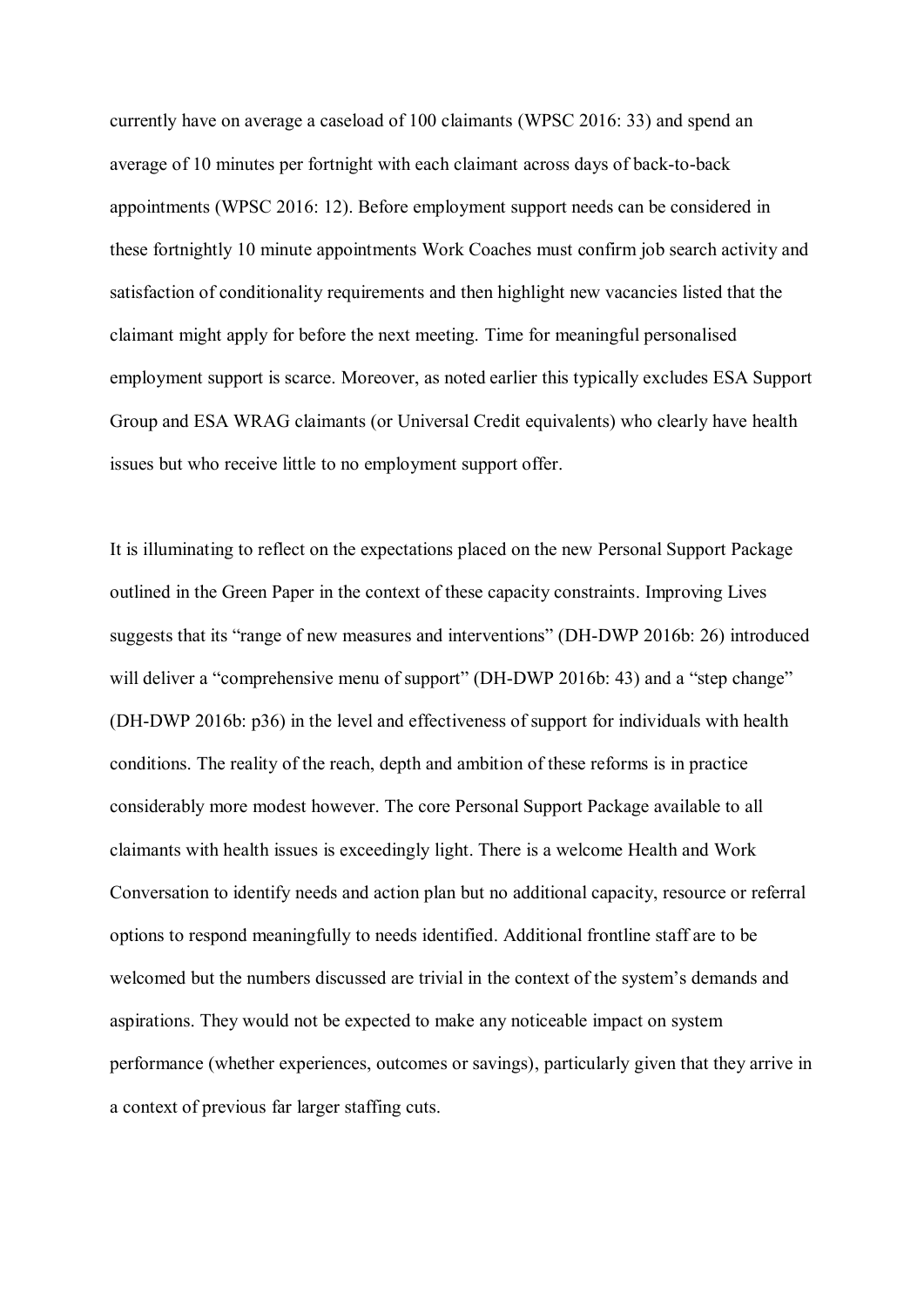currently have on average a caseload of 100 claimants (WPSC 2016: 33) and spend an average of 10 minutes per fortnight with each claimant across days of back-to-back appointments (WPSC 2016: 12). Before employment support needs can be considered in these fortnightly 10 minute appointments Work Coaches must confirm job search activity and satisfaction of conditionality requirements and then highlight new vacancies listed that the claimant might apply for before the next meeting. Time for meaningful personalised employment support is scarce. Moreover, as noted earlier this typically excludes ESA Support Group and ESA WRAG claimants (or Universal Credit equivalents) who clearly have health issues but who receive little to no employment support offer.

It is illuminating to reflect on the expectations placed on the new Personal Support Package outlined in the Green Paper in the context of these capacity constraints. Improving Lives suggests that its "range of new measures and interventions" (DH-DWP 2016b: 26) introduced will deliver a "comprehensive menu of support" (DH-DWP 2016b: 43) and a "step change" (DH-DWP 2016b: p36) in the level and effectiveness of support for individuals with health conditions. The reality of the reach, depth and ambition of these reforms is in practice considerably more modest however. The core Personal Support Package available to all claimants with health issues is exceedingly light. There is a welcome Health and Work Conversation to identify needs and action plan but no additional capacity, resource or referral options to respond meaningfully to needs identified. Additional frontline staff are to be welcomed but the numbers discussed are trivial in the context of the system's demands and aspirations. They would not be expected to make any noticeable impact on system performance (whether experiences, outcomes or savings), particularly given that they arrive in a context of previous far larger staffing cuts.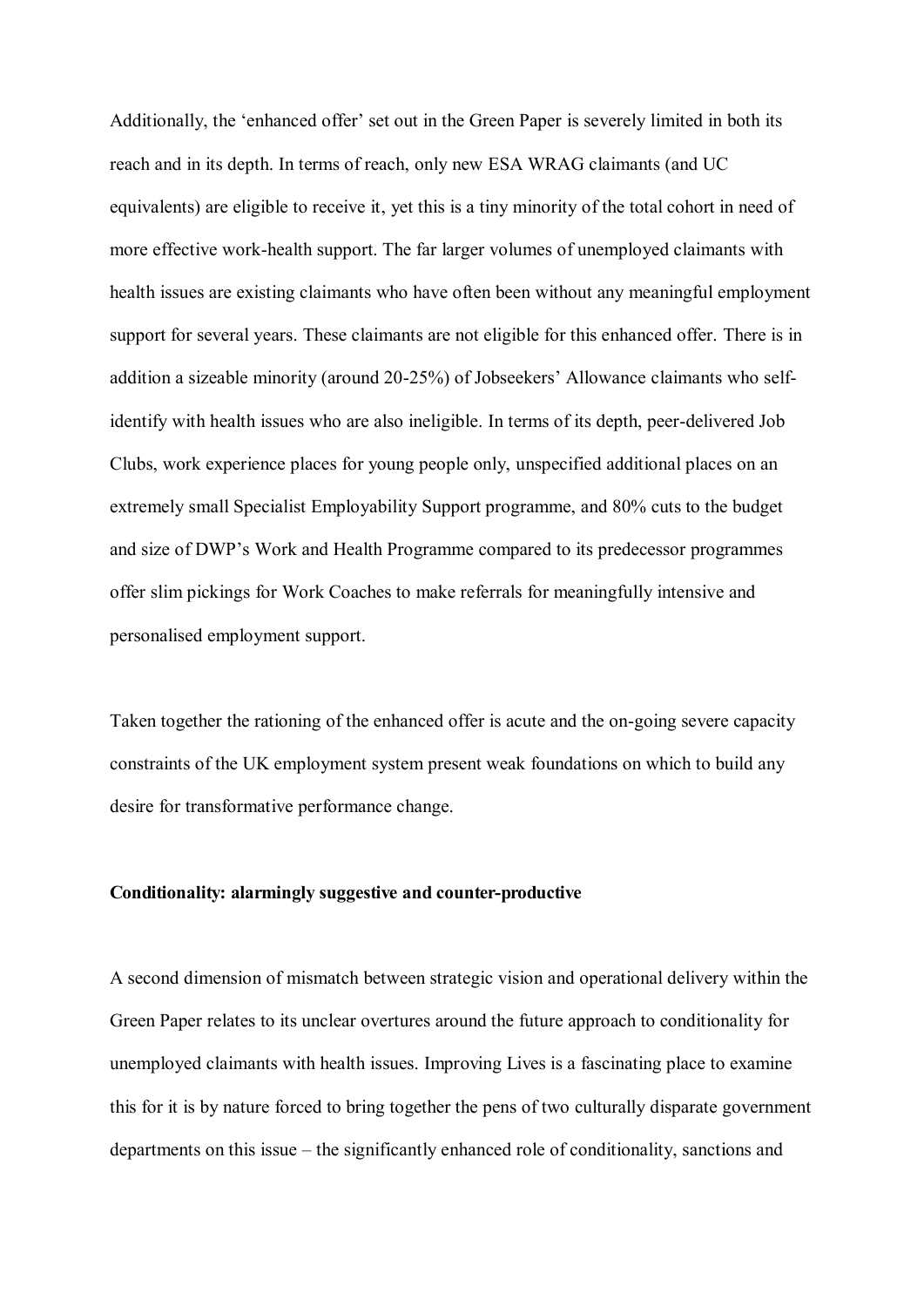Additionally, the 'enhanced offer' set out in the Green Paper is severely limited in both its reach and in its depth. In terms of reach, only new ESA WRAG claimants (and UC equivalents) are eligible to receive it, yet this is a tiny minority of the total cohort in need of more effective work-health support. The far larger volumes of unemployed claimants with health issues are existing claimants who have often been without any meaningful employment support for several years. These claimants are not eligible for this enhanced offer. There is in addition a sizeable minority (around 20-25%) of Jobseekers' Allowance claimants who selfidentify with health issues who are also ineligible. In terms of its depth, peer-delivered Job Clubs, work experience places for young people only, unspecified additional places on an extremely small Specialist Employability Support programme, and 80% cuts to the budget and size of DWP's Work and Health Programme compared to its predecessor programmes offer slim pickings for Work Coaches to make referrals for meaningfully intensive and personalised employment support.

Taken together the rationing of the enhanced offer is acute and the on-going severe capacity constraints of the UK employment system present weak foundations on which to build any desire for transformative performance change.

#### **Conditionality: alarmingly suggestive and counter-productive**

A second dimension of mismatch between strategic vision and operational delivery within the Green Paper relates to its unclear overtures around the future approach to conditionality for unemployed claimants with health issues. Improving Lives is a fascinating place to examine this for it is by nature forced to bring together the pens of two culturally disparate government departments on this issue – the significantly enhanced role of conditionality, sanctions and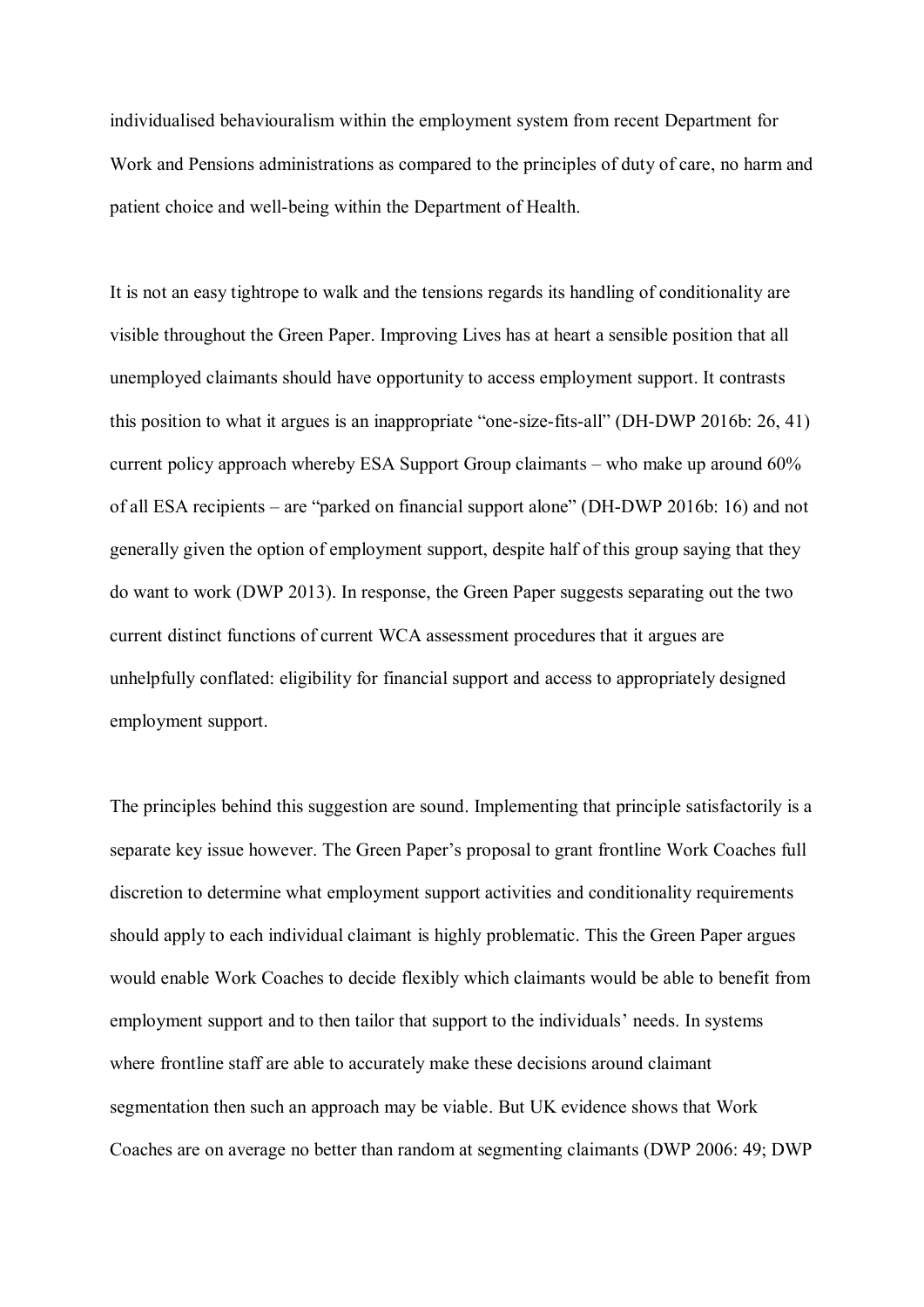individualised behaviouralism within the employment system from recent Department for Work and Pensions administrations as compared to the principles of duty of care, no harm and patient choice and well-being within the Department of Health.

It is not an easy tightrope to walk and the tensions regards its handling of conditionality are visible throughout the Green Paper. Improving Lives has at heart a sensible position that all unemployed claimants should have opportunity to access employment support. It contrasts this position to what it argues is an inappropriate "one-size-fits-all" (DH-DWP 2016b: 26, 41) current policy approach whereby ESA Support Group claimants  $-$  who make up around 60% of all ESA recipients – are "parked on financial support alone" (DH-DWP 2016b: 16) and not generally given the option of employment support, despite half of this group saying that they do want to work (DWP 2013). In response, the Green Paper suggests separating out the two current distinct functions of current WCA assessment procedures that it argues are unhelpfully conflated: eligibility for financial support and access to appropriately designed employment support.

The principles behind this suggestion are sound. Implementing that principle satisfactorily is a separate key issue however. The Green Paper's proposal to grant frontline Work Coaches full discretion to determine what employment support activities and conditionality requirements should apply to each individual claimant is highly problematic. This the Green Paper argues would enable Work Coaches to decide flexibly which claimants would be able to benefit from employment support and to then tailor that support to the individuals' needs. In systems where frontline staff are able to accurately make these decisions around claimant segmentation then such an approach may be viable. But UK evidence shows that Work Coaches are on average no better than random at segmenting claimants (DWP 2006: 49; DWP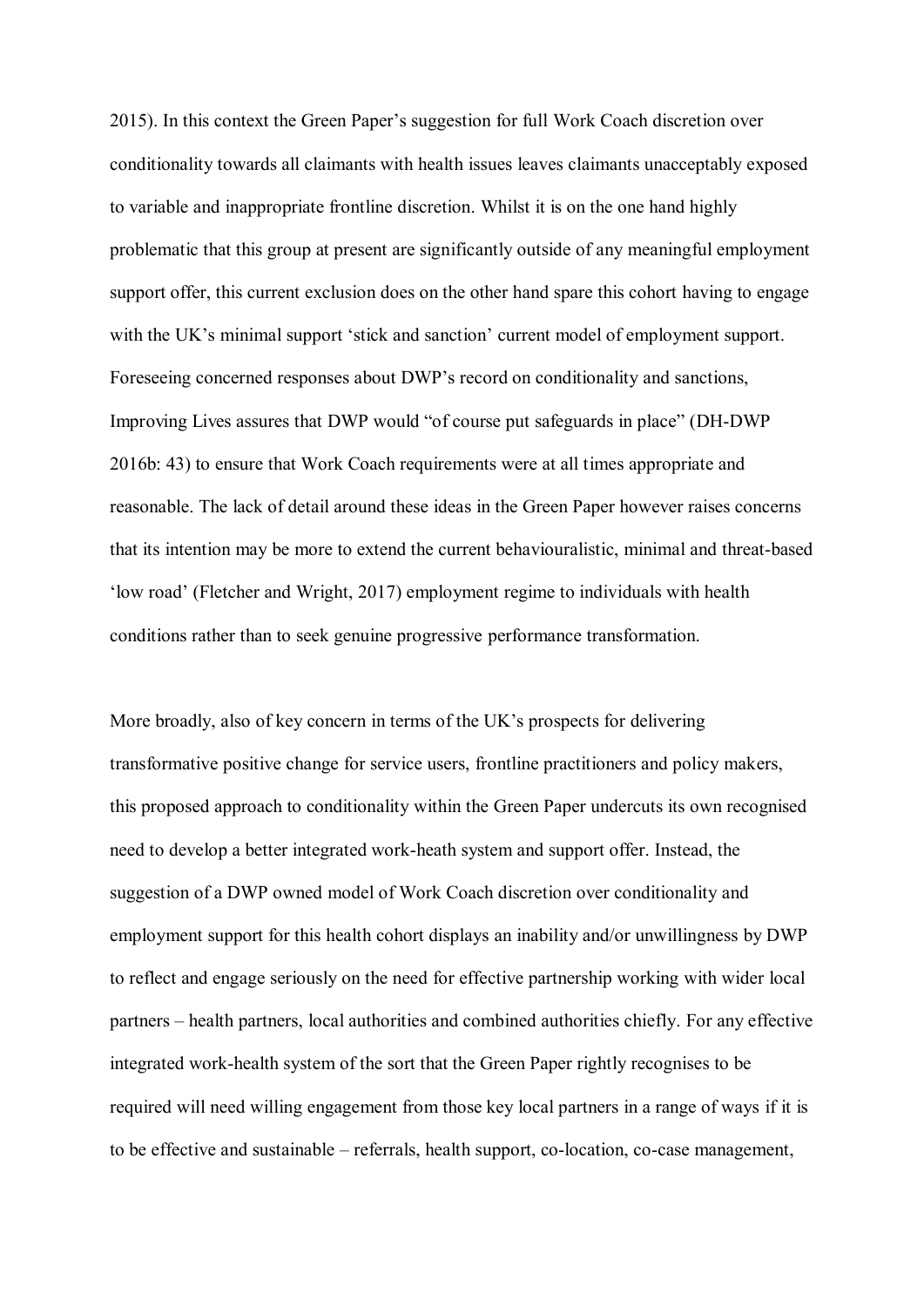2015). In this context the Green Paper's suggestion for full Work Coach discretion over conditionality towards all claimants with health issues leaves claimants unacceptably exposed to variable and inappropriate frontline discretion. Whilst it is on the one hand highly problematic that this group at present are significantly outside of any meaningful employment support offer, this current exclusion does on the other hand spare this cohort having to engage with the UK's minimal support 'stick and sanction' current model of employment support. Foreseeing concerned responses about DWP's record on conditionality and sanctions, Improving Lives assures that DWP would "of course put safeguards in place" (DH-DWP 2016b: 43) to ensure that Work Coach requirements were at all times appropriate and reasonable. The lack of detail around these ideas in the Green Paper however raises concerns that its intention may be more to extend the current behaviouralistic, minimal and threat-based 'low road' (Fletcher and Wright, 2017) employment regime to individuals with health conditions rather than to seek genuine progressive performance transformation.

More broadly, also of key concern in terms of the UK's prospects for delivering transformative positive change for service users, frontline practitioners and policy makers, this proposed approach to conditionality within the Green Paper undercuts its own recognised need to develop a better integrated work-heath system and support offer. Instead, the suggestion of a DWP owned model of Work Coach discretion over conditionality and employment support for this health cohort displays an inability and/or unwillingness by DWP to reflect and engage seriously on the need for effective partnership working with wider local partners – health partners, local authorities and combined authorities chiefly. For any effective integrated work-health system of the sort that the Green Paper rightly recognises to be required will need willing engagement from those key local partners in a range of ways if it is to be effective and sustainable  $-$  referrals, health support, co-location, co-case management,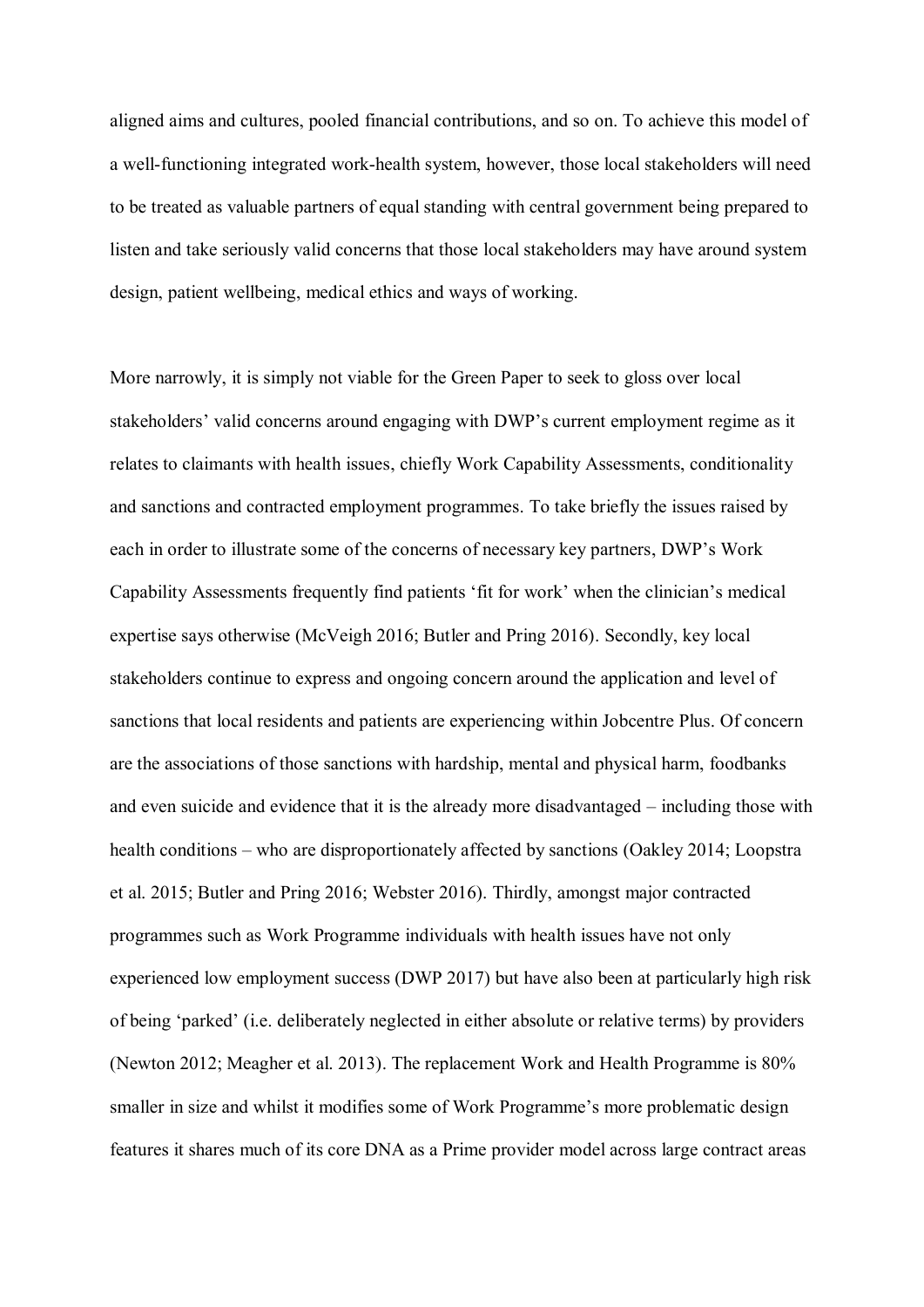aligned aims and cultures, pooled financial contributions, and so on. To achieve this model of a well-functioning integrated work-health system, however, those local stakeholders will need to be treated as valuable partners of equal standing with central government being prepared to listen and take seriously valid concerns that those local stakeholders may have around system design, patient wellbeing, medical ethics and ways of working.

More narrowly, it is simply not viable for the Green Paper to seek to gloss over local stakeholders' valid concerns around engaging with DWP's current employment regime as it relates to claimants with health issues, chiefly Work Capability Assessments, conditionality and sanctions and contracted employment programmes. To take briefly the issues raised by each in order to illustrate some of the concerns of necessary key partners, DWP's Work Capability Assessments frequently find patients 'fit for work' when the clinician's medical expertise says otherwise (McVeigh 2016; Butler and Pring 2016). Secondly, key local stakeholders continue to express and ongoing concern around the application and level of sanctions that local residents and patients are experiencing within Jobcentre Plus. Of concern are the associations of those sanctions with hardship, mental and physical harm, foodbanks and even suicide and evidence that it is the already more disadvantaged  $-$  including those with health conditions  $-$  who are disproportionately affected by sanctions (Oakley 2014; Loopstra et al. 2015; Butler and Pring 2016; Webster 2016). Thirdly, amongst major contracted programmes such as Work Programme individuals with health issues have not only experienced low employment success (DWP 2017) but have also been at particularly high risk of being 'parked' (i.e. deliberately neglected in either absolute or relative terms) by providers (Newton 2012; Meagher et al. 2013). The replacement Work and Health Programme is 80% smaller in size and whilst it modifies some of Work Programme's more problematic design features it shares much of its core DNA as a Prime provider model across large contract areas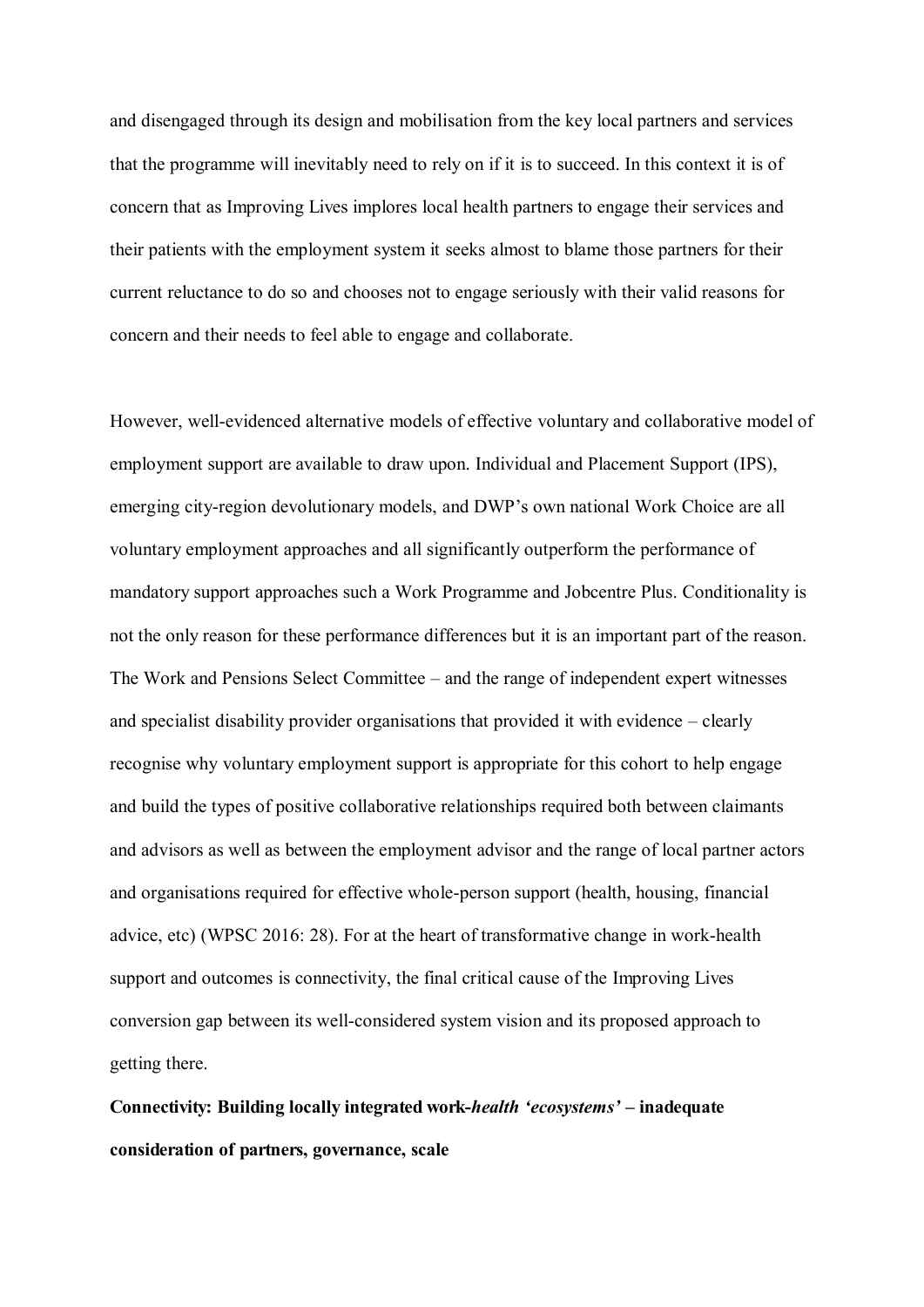and disengaged through its design and mobilisation from the key local partners and services that the programme will inevitably need to rely on if it is to succeed. In this context it is of concern that as Improving Lives implores local health partners to engage their services and their patients with the employment system it seeks almost to blame those partners for their current reluctance to do so and chooses not to engage seriously with their valid reasons for concern and their needs to feel able to engage and collaborate.

However, well-evidenced alternative models of effective voluntary and collaborative model of employment support are available to draw upon. Individual and Placement Support (IPS), emerging city-region devolutionary models, and DWP's own national Work Choice are all voluntary employment approaches and all significantly outperform the performance of mandatory support approaches such a Work Programme and Jobcentre Plus. Conditionality is not the only reason for these performance differences but it is an important part of the reason. The Work and Pensions Select Committee – and the range of independent expert witnesses and specialist disability provider organisations that provided it with evidence  $-\text{clearly}$ recognise why voluntary employment support is appropriate for this cohort to help engage and build the types of positive collaborative relationships required both between claimants and advisors as well as between the employment advisor and the range of local partner actors and organisations required for effective whole-person support (health, housing, financial advice, etc) (WPSC 2016: 28). For at the heart of transformative change in work-health support and outcomes is connectivity, the final critical cause of the Improving Lives conversion gap between its well-considered system vision and its proposed approach to getting there.

Connectivity: Building locally integrated work-*health 'ecosystems'* – inadequate **consideration of partners, governance, scale**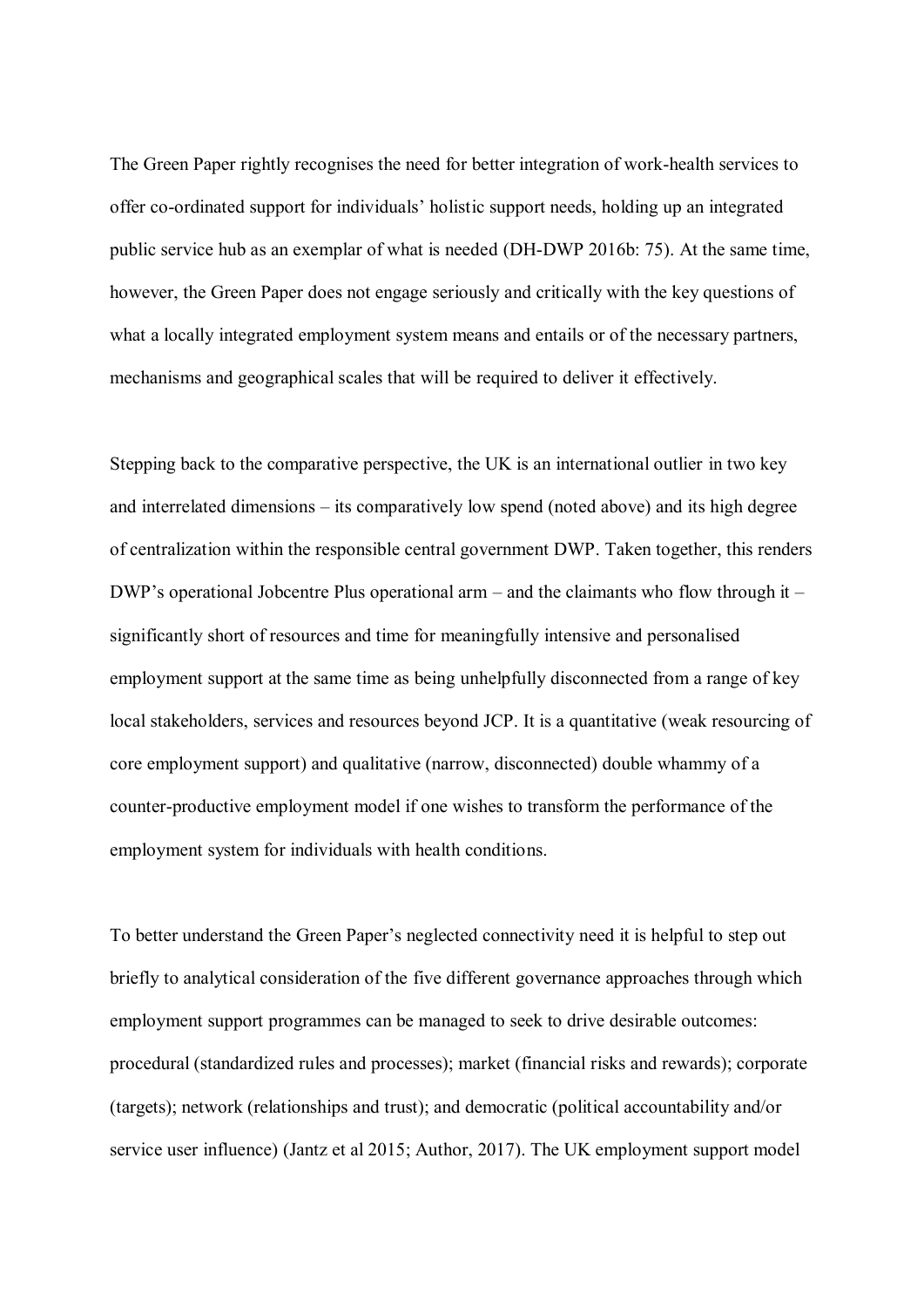The Green Paper rightly recognises the need for better integration of work-health services to offer co-ordinated support for individuals' holistic support needs, holding up an integrated public service hub as an exemplar of what is needed (DH-DWP 2016b: 75). At the same time, however, the Green Paper does not engage seriously and critically with the key questions of what a locally integrated employment system means and entails or of the necessary partners, mechanisms and geographical scales that will be required to deliver it effectively.

Stepping back to the comparative perspective, the UK is an international outlier in two key and interrelated dimensions – its comparatively low spend (noted above) and its high degree of centralization within the responsible central government DWP. Taken together, this renders DWP's operational Jobcentre Plus operational arm – and the claimants who flow through it  $$ significantly short of resources and time for meaningfully intensive and personalised employment support at the same time as being unhelpfully disconnected from a range of key local stakeholders, services and resources beyond JCP. It is a quantitative (weak resourcing of core employment support) and qualitative (narrow, disconnected) double whammy of a counter-productive employment model if one wishes to transform the performance of the employment system for individuals with health conditions.

To better understand the Green Paper's neglected connectivity need it is helpful to step out briefly to analytical consideration of the five different governance approaches through which employment support programmes can be managed to seek to drive desirable outcomes: procedural (standardized rules and processes); market (financial risks and rewards); corporate (targets); network (relationships and trust); and democratic (political accountability and/or service user influence) (Jantz et al 2015; Author, 2017). The UK employment support model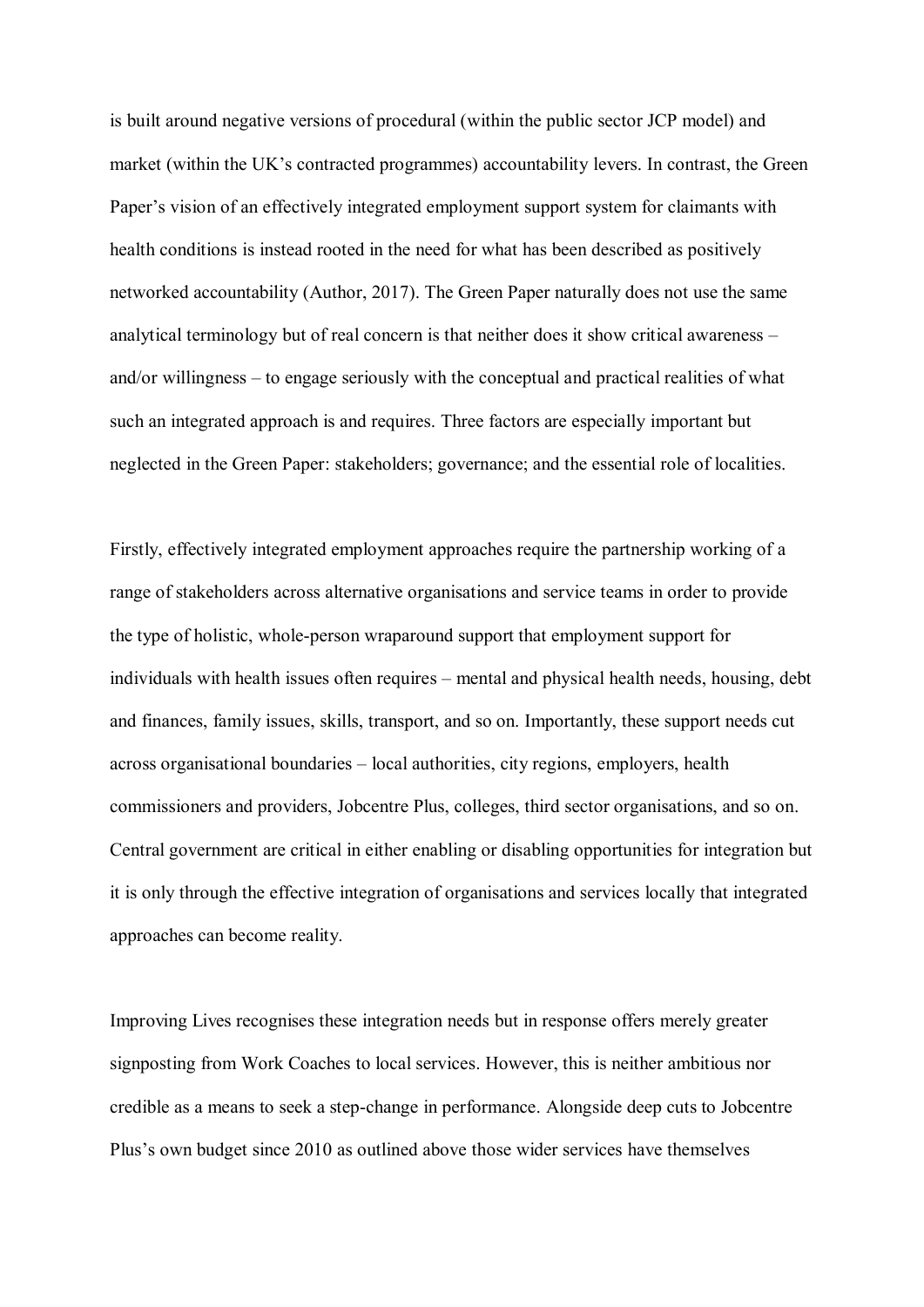is built around negative versions of procedural (within the public sector JCP model) and market (within the UK's contracted programmes) accountability levers. In contrast, the Green Paper's vision of an effectively integrated employment support system for claimants with health conditions is instead rooted in the need for what has been described as positively networked accountability (Author, 2017). The Green Paper naturally does not use the same analytical terminology but of real concern is that neither does it show critical awareness – and/or willingness  $-$  to engage seriously with the conceptual and practical realities of what such an integrated approach is and requires. Three factors are especially important but neglected in the Green Paper: stakeholders; governance; and the essential role of localities.

Firstly, effectively integrated employment approaches require the partnership working of a range of stakeholders across alternative organisations and service teams in order to provide the type of holistic, whole-person wraparound support that employment support for individuals with health issues often requires – mental and physical health needs, housing, debt and finances, family issues, skills, transport, and so on. Importantly, these support needs cut across organisational boundaries – local authorities, city regions, employers, health commissioners and providers, Jobcentre Plus, colleges, third sector organisations, and so on. Central government are critical in either enabling or disabling opportunities for integration but it is only through the effective integration of organisations and services locally that integrated approaches can become reality.

Improving Lives recognises these integration needs but in response offers merely greater signposting from Work Coaches to local services. However, this is neither ambitious nor credible as a means to seek a step-change in performance. Alongside deep cuts to Jobcentre Plus's own budget since 2010 as outlined above those wider services have themselves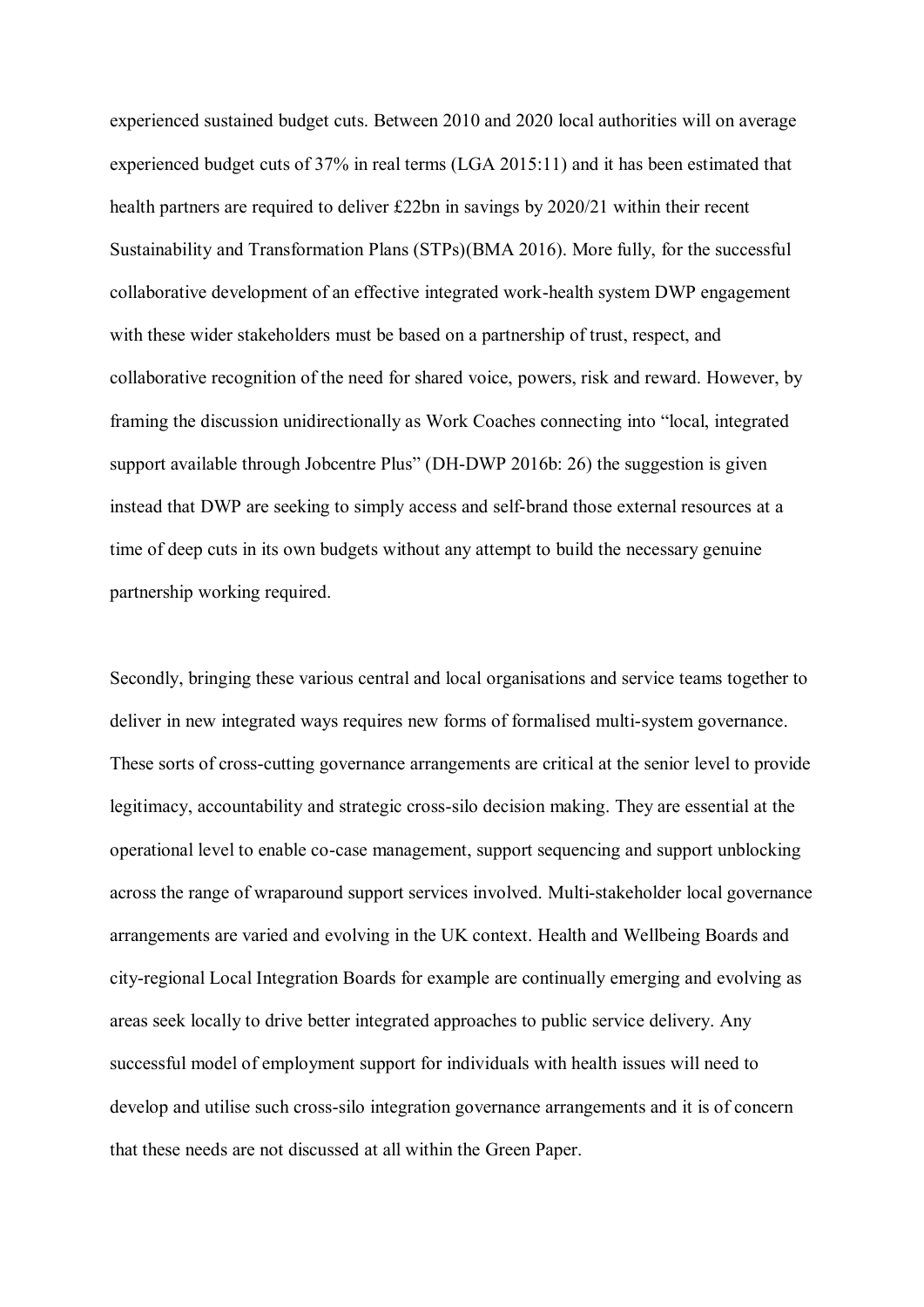experienced sustained budget cuts. Between 2010 and 2020 local authorities will on average experienced budget cuts of 37% in real terms (LGA 2015:11) and it has been estimated that health partners are required to deliver £22bn in savings by 2020/21 within their recent Sustainability and Transformation Plans (STPs)(BMA 2016). More fully, for the successful collaborative development of an effective integrated work-health system DWP engagement with these wider stakeholders must be based on a partnership of trust, respect, and collaborative recognition of the need for shared voice, powers, risk and reward. However, by framing the discussion unidirectionally as Work Coaches connecting into "local, integrated support available through Jobcentre Plus" (DH-DWP 2016b: 26) the suggestion is given instead that DWP are seeking to simply access and self-brand those external resources at a time of deep cuts in its own budgets without any attempt to build the necessary genuine partnership working required.

Secondly, bringing these various central and local organisations and service teams together to deliver in new integrated ways requires new forms of formalised multi-system governance. These sorts of cross-cutting governance arrangements are critical at the senior level to provide legitimacy, accountability and strategic cross-silo decision making. They are essential at the operational level to enable co-case management, support sequencing and support unblocking across the range of wraparound support services involved. Multi-stakeholder local governance arrangements are varied and evolving in the UK context. Health and Wellbeing Boards and city-regional Local Integration Boards for example are continually emerging and evolving as areas seek locally to drive better integrated approaches to public service delivery. Any successful model of employment support for individuals with health issues will need to develop and utilise such cross-silo integration governance arrangements and it is of concern that these needs are not discussed at all within the Green Paper.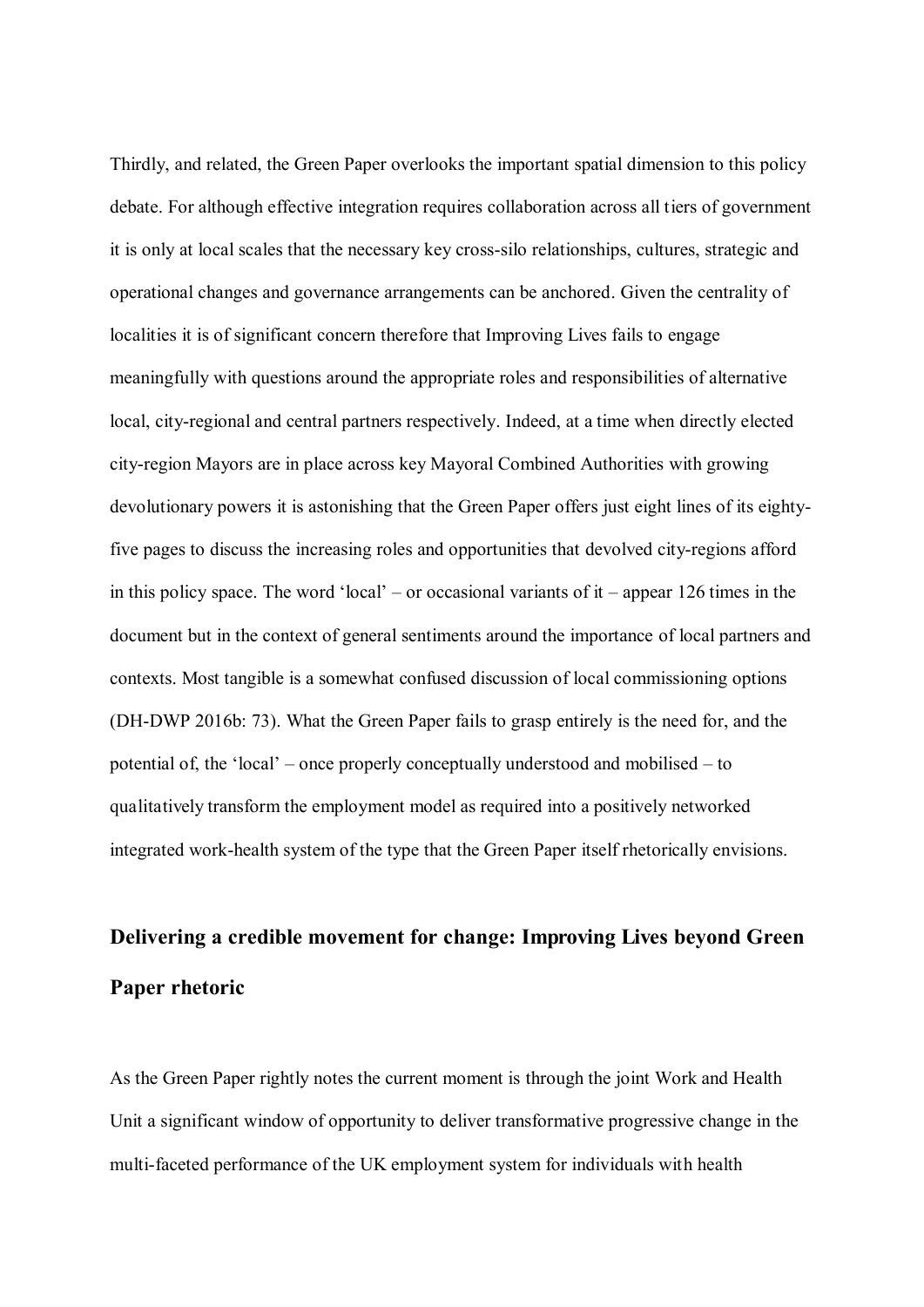Thirdly, and related, the Green Paper overlooks the important spatial dimension to this policy debate. For although effective integration requires collaboration across all tiers of government it is only at local scales that the necessary key cross-silo relationships, cultures, strategic and operational changes and governance arrangements can be anchored. Given the centrality of localities it is of significant concern therefore that Improving Lives fails to engage meaningfully with questions around the appropriate roles and responsibilities of alternative local, city-regional and central partners respectively. Indeed, at a time when directly elected city-region Mayors are in place across key Mayoral Combined Authorities with growing devolutionary powers it is astonishing that the Green Paper offers just eight lines of its eightyfive pages to discuss the increasing roles and opportunities that devolved city-regions afford in this policy space. The word 'local' – or occasional variants of it – appear 126 times in the document but in the context of general sentiments around the importance of local partners and contexts. Most tangible is a somewhat confused discussion of local commissioning options (DH-DWP 2016b: 73). What the Green Paper fails to grasp entirely is the need for, and the potential of, the 'local'  $-$  once properly conceptually understood and mobilised  $-$  to qualitatively transform the employment model as required into a positively networked integrated work-health system of the type that the Green Paper itself rhetorically envisions.

# **Delivering a credible movement for change: Improving Lives beyond Green Paper rhetoric**

As the Green Paper rightly notes the current moment is through the joint Work and Health Unit a significant window of opportunity to deliver transformative progressive change in the multi-faceted performance of the UK employment system for individuals with health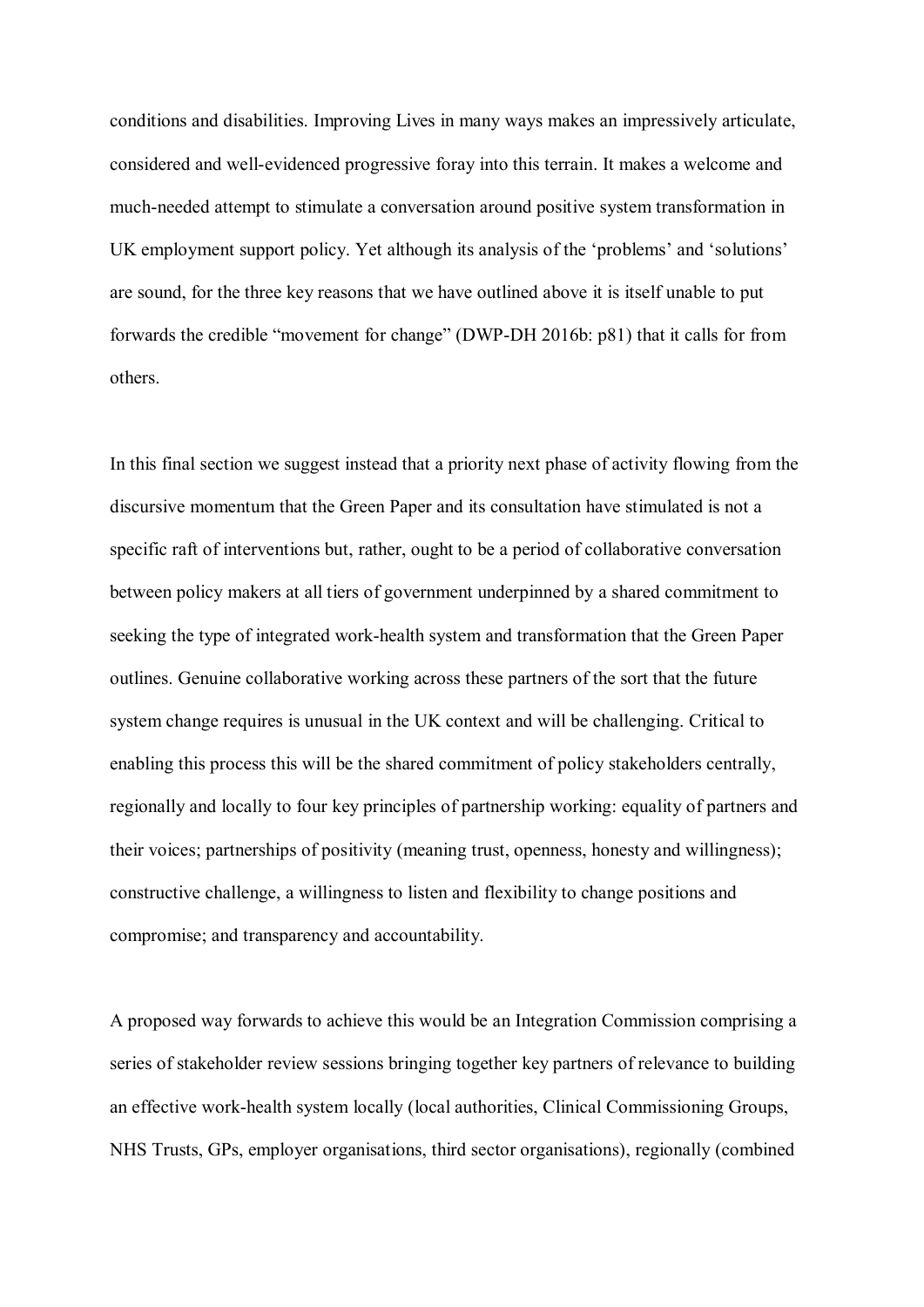conditions and disabilities. Improving Lives in many ways makes an impressively articulate, considered and well-evidenced progressive foray into this terrain. It makes a welcome and much-needed attempt to stimulate a conversation around positive system transformation in UK employment support policy. Yet although its analysis of the 'problems' and 'solutions' are sound, for the three key reasons that we have outlined above it is itself unable to put forwards the credible "movement for change" (DWP-DH 2016b:  $p81$ ) that it calls for from others.

In this final section we suggest instead that a priority next phase of activity flowing from the discursive momentum that the Green Paper and its consultation have stimulated is not a specific raft of interventions but, rather, ought to be a period of collaborative conversation between policy makers at all tiers of government underpinned by a shared commitment to seeking the type of integrated work-health system and transformation that the Green Paper outlines. Genuine collaborative working across these partners of the sort that the future system change requires is unusual in the UK context and will be challenging. Critical to enabling this process this will be the shared commitment of policy stakeholders centrally, regionally and locally to four key principles of partnership working: equality of partners and their voices; partnerships of positivity (meaning trust, openness, honesty and willingness); constructive challenge, a willingness to listen and flexibility to change positions and compromise; and transparency and accountability.

A proposed way forwards to achieve this would be an Integration Commission comprising a series of stakeholder review sessions bringing together key partners of relevance to building an effective work-health system locally (local authorities, Clinical Commissioning Groups, NHS Trusts, GPs, employer organisations, third sector organisations), regionally (combined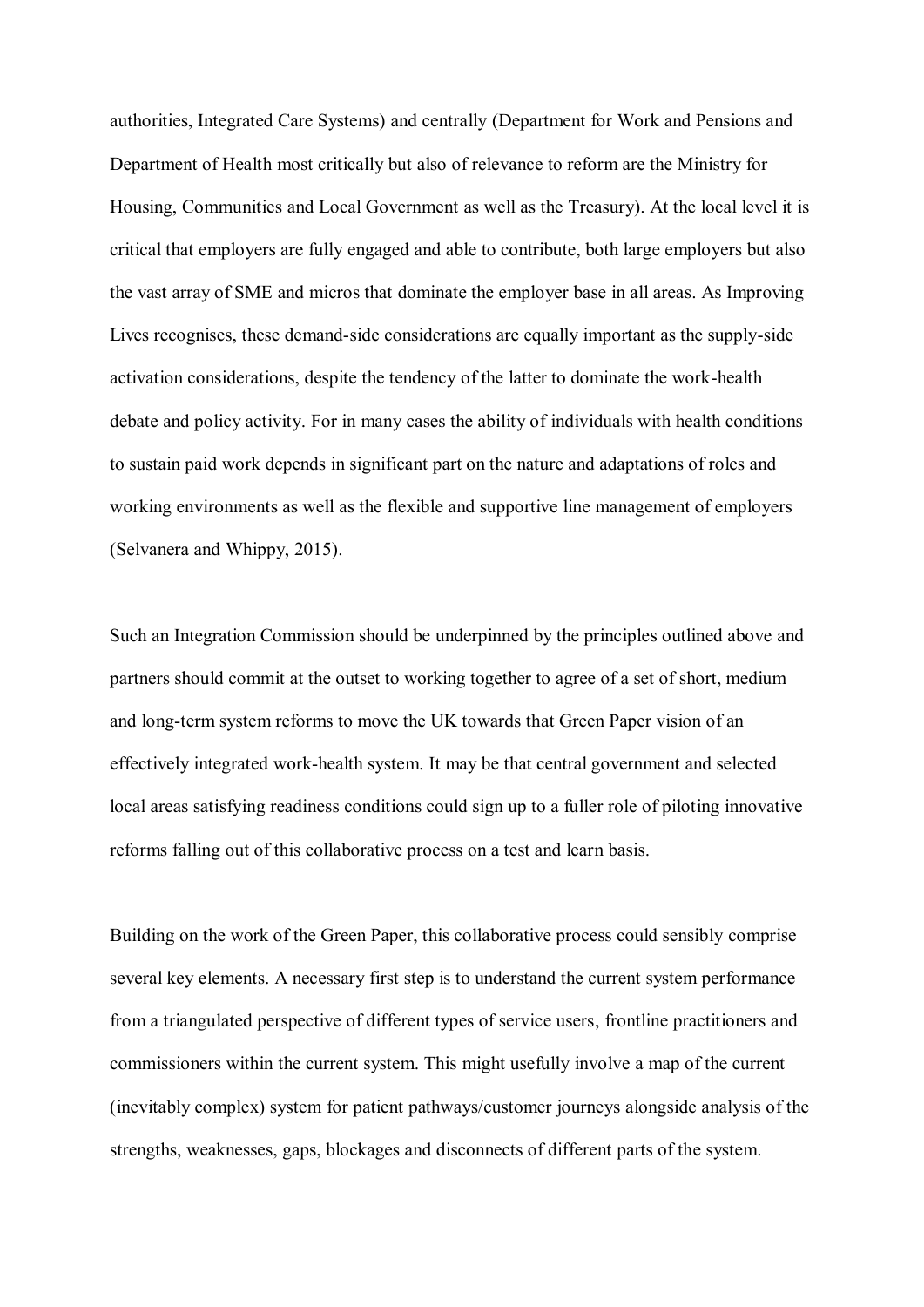authorities, Integrated Care Systems) and centrally (Department for Work and Pensions and Department of Health most critically but also of relevance to reform are the Ministry for Housing, Communities and Local Government as well as the Treasury). At the local level it is critical that employers are fully engaged and able to contribute, both large employers but also the vast array of SME and micros that dominate the employer base in all areas. As Improving Lives recognises, these demand-side considerations are equally important as the supply-side activation considerations, despite the tendency of the latter to dominate the work-health debate and policy activity. For in many cases the ability of individuals with health conditions to sustain paid work depends in significant part on the nature and adaptations of roles and working environments as well as the flexible and supportive line management of employers (Selvanera and Whippy, 2015).

Such an Integration Commission should be underpinned by the principles outlined above and partners should commit at the outset to working together to agree of a set of short, medium and long-term system reforms to move the UK towards that Green Paper vision of an effectively integrated work-health system. It may be that central government and selected local areas satisfying readiness conditions could sign up to a fuller role of piloting innovative reforms falling out of this collaborative process on a test and learn basis.

Building on the work of the Green Paper, this collaborative process could sensibly comprise several key elements. A necessary first step is to understand the current system performance from a triangulated perspective of different types of service users, frontline practitioners and commissioners within the current system. This might usefully involve a map of the current (inevitably complex) system for patient pathways/customer journeys alongside analysis of the strengths, weaknesses, gaps, blockages and disconnects of different parts of the system.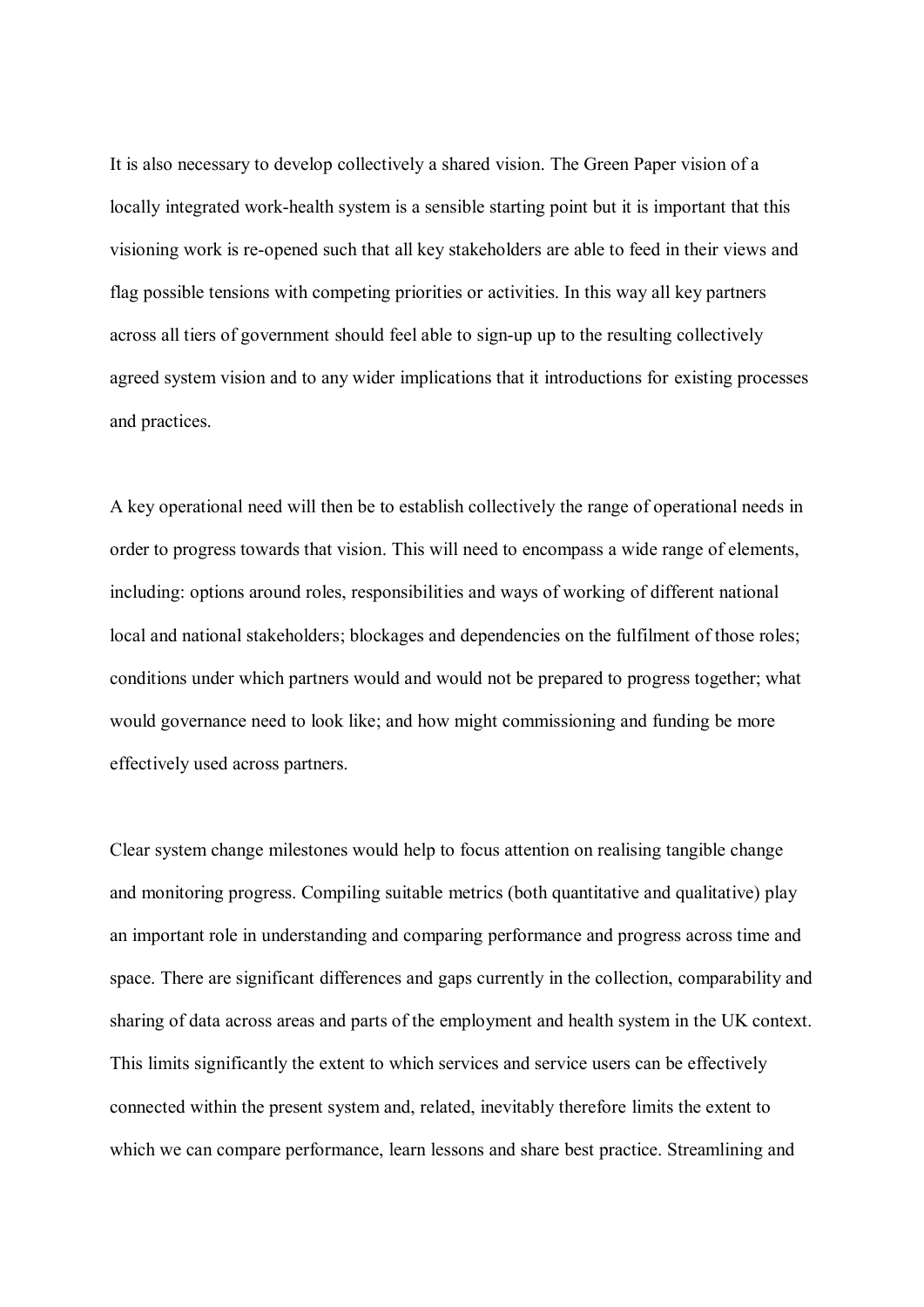It is also necessary to develop collectively a shared vision. The Green Paper vision of a locally integrated work-health system is a sensible starting point but it is important that this visioning work is re-opened such that all key stakeholders are able to feed in their views and flag possible tensions with competing priorities or activities. In this way all key partners across all tiers of government should feel able to sign-up up to the resulting collectively agreed system vision and to any wider implications that it introductions for existing processes and practices.

A key operational need will then be to establish collectively the range of operational needs in order to progress towards that vision. This will need to encompass a wide range of elements, including: options around roles, responsibilities and ways of working of different national local and national stakeholders; blockages and dependencies on the fulfilment of those roles; conditions under which partners would and would not be prepared to progress together; what would governance need to look like; and how might commissioning and funding be more effectively used across partners.

Clear system change milestones would help to focus attention on realising tangible change and monitoring progress. Compiling suitable metrics (both quantitative and qualitative) play an important role in understanding and comparing performance and progress across time and space. There are significant differences and gaps currently in the collection, comparability and sharing of data across areas and parts of the employment and health system in the UK context. This limits significantly the extent to which services and service users can be effectively connected within the present system and, related, inevitably therefore limits the extent to which we can compare performance, learn lessons and share best practice. Streamlining and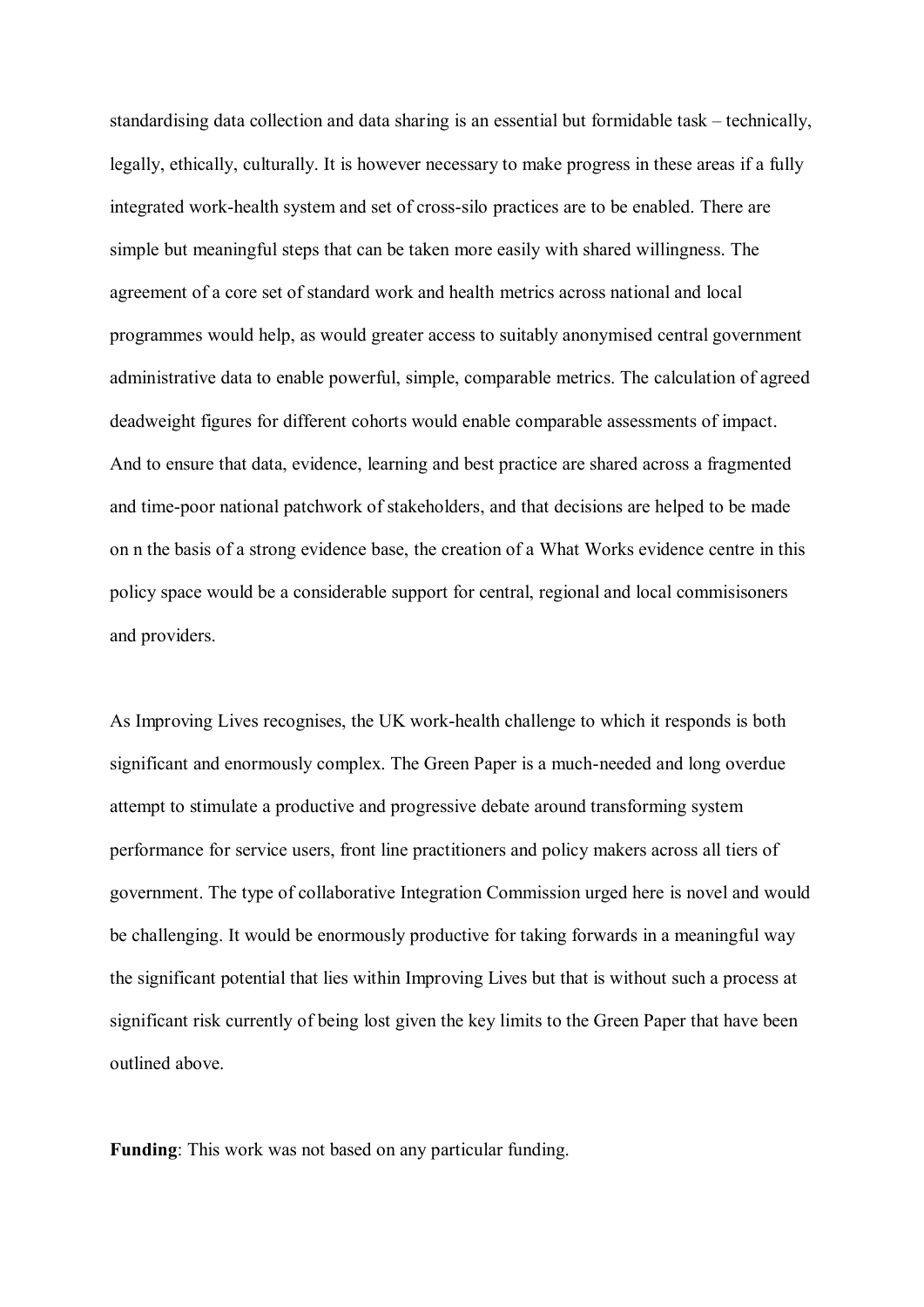standardising data collection and data sharing is an essential but formidable task – technically, legally, ethically, culturally. It is however necessary to make progress in these areas if a fully integrated work-health system and set of cross-silo practices are to be enabled. There are simple but meaningful steps that can be taken more easily with shared willingness. The agreement of a core set of standard work and health metrics across national and local programmes would help, as would greater access to suitably anonymised central government administrative data to enable powerful, simple, comparable metrics. The calculation of agreed deadweight figures for different cohorts would enable comparable assessments of impact. And to ensure that data, evidence, learning and best practice are shared across a fragmented and time-poor national patchwork of stakeholders, and that decisions are helped to be made on n the basis of a strong evidence base, the creation of a What Works evidence centre in this policy space would be a considerable support for central, regional and local commisisoners and providers.

As Improving Lives recognises, the UK work-health challenge to which it responds is both significant and enormously complex. The Green Paper is a much-needed and long overdue attempt to stimulate a productive and progressive debate around transforming system performance for service users, front line practitioners and policy makers across all tiers of government. The type of collaborative Integration Commission urged here is novel and would be challenging. It would be enormously productive for taking forwards in a meaningful way the significant potential that lies within Improving Lives but that is without such a process at significant risk currently of being lost given the key limits to the Green Paper that have been outlined above.

**Funding**: This work was not based on any particular funding.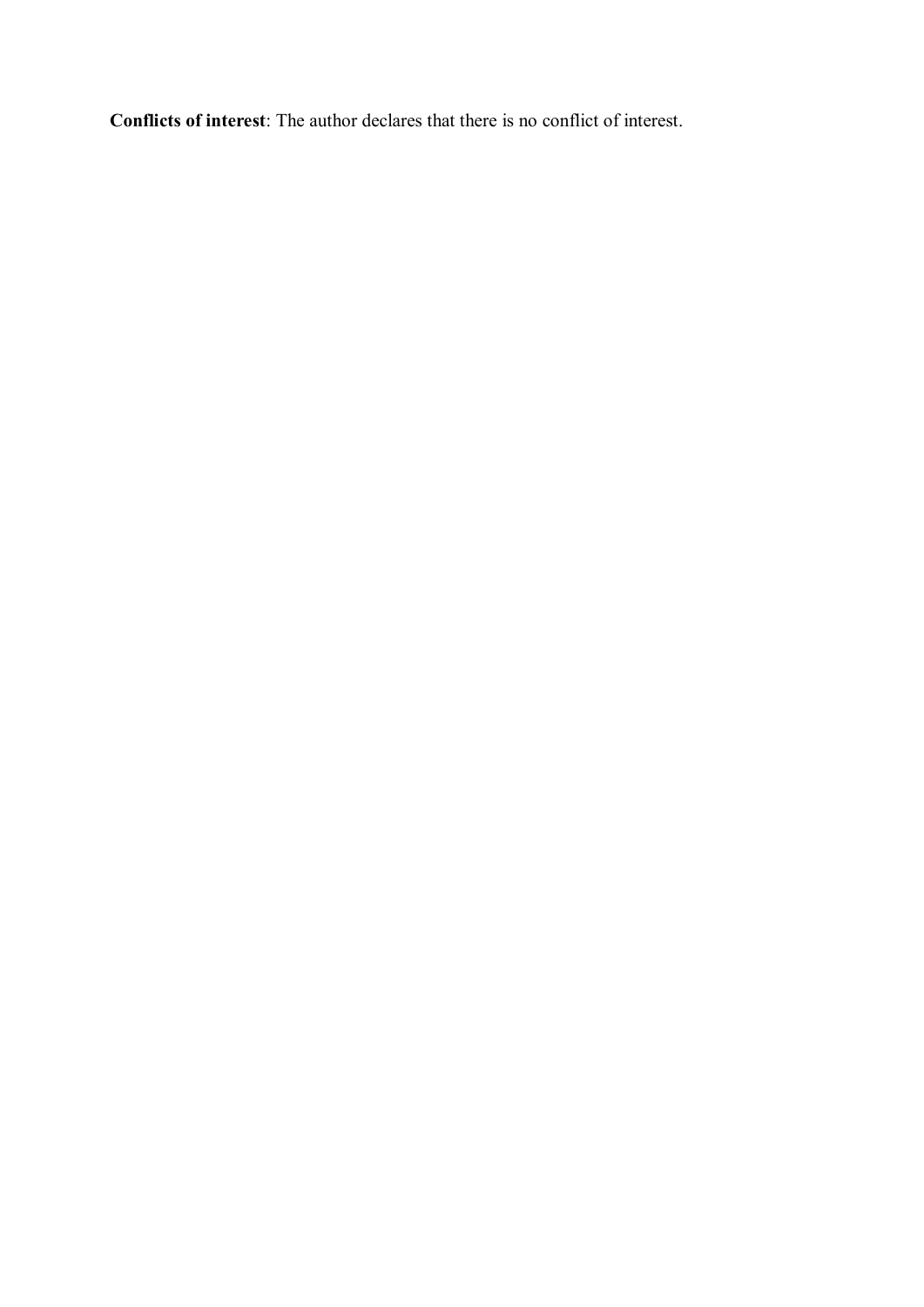**Conflicts of interest**: The author declares that there is no conflict of interest.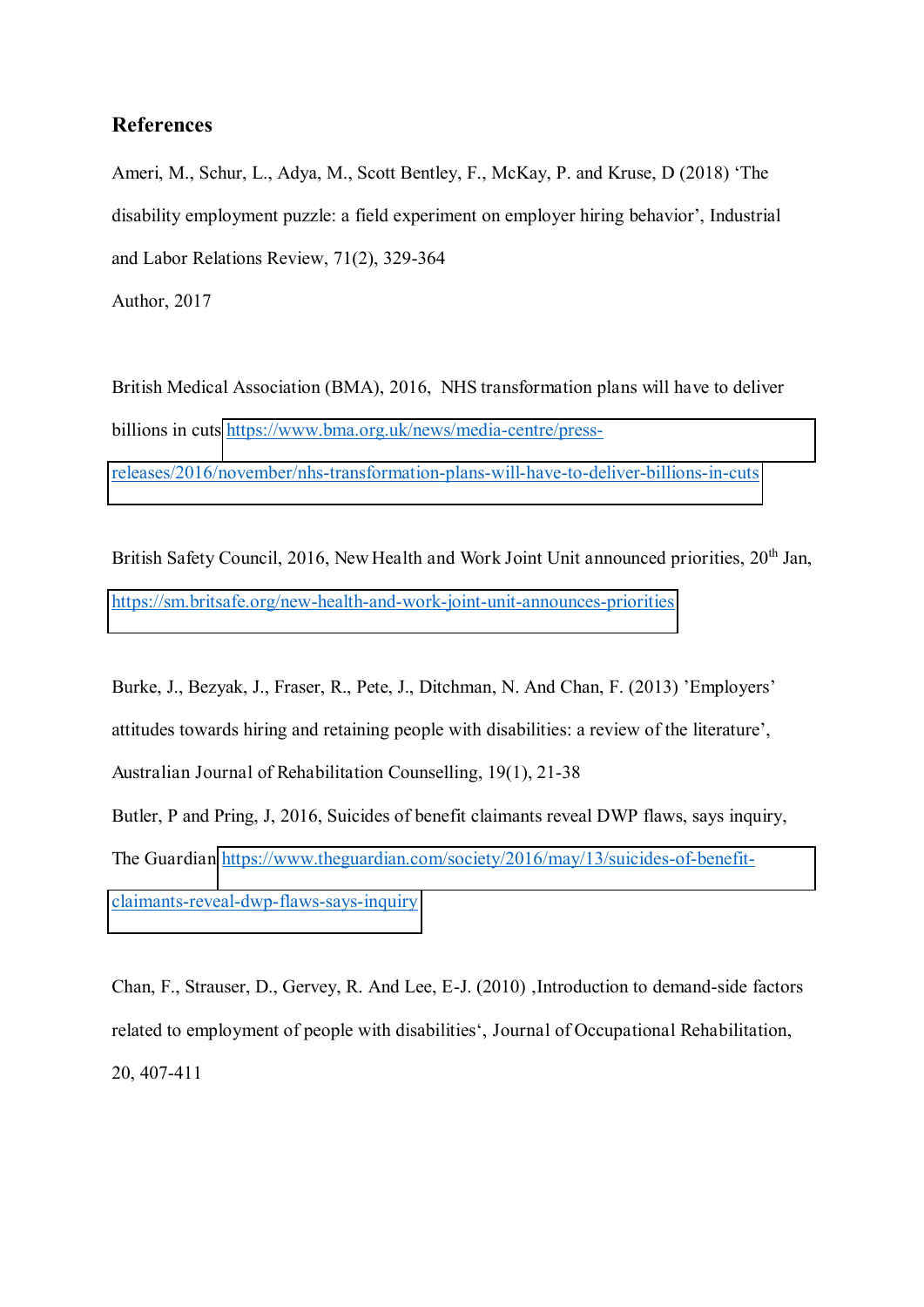## **References**

Ameri, M., Schur, L., Adya, M., Scott Bentley, F., McKay, P. and Kruse, D (2018) 'The disability employment puzzle: a field experiment on employer hiring behavior', Industrial and Labor Relations Review, 71(2), 329-364 Author, 2017

British Medical Association (BMA), 2016, NHS transformation plans will have to deliver billions in cuts [https://www.bma.org.uk/news/media-centre/press](https://www.bma.org.uk/news/media-centre/press-releases/2016/november/nhs-transformation-plans-will-have-to-deliver-billions-in-cuts)[releases/2016/november/nhs-transformation-plans-will-have-to-deliver-billions-in-cuts](https://www.bma.org.uk/news/media-centre/press-releases/2016/november/nhs-transformation-plans-will-have-to-deliver-billions-in-cuts)

British Safety Council, 2016, New Health and Work Joint Unit announced priorities, 20<sup>th</sup> Jan, <https://sm.britsafe.org/new-health-and-work-joint-unit-announces-priorities>

Burke, J., Bezyak, J., Fraser, R., Pete, J., Ditchman, N. And Chan, F. (2013) 'Employers' attitudes towards hiring and retaining people with disabilities: a review of the literature', Australian Journal of Rehabilitation Counselling, 19(1), 21-38 Butler, P and Pring, J, 2016, Suicides of benefit claimants reveal DWP flaws, says inquiry, The Guardian [https://www.theguardian.com/society/2016/may/13/suicides-of-benefit](https://www.theguardian.com/society/2016/may/13/suicides-of-benefit-claimants-reveal-dwp-flaws-says-inquiry)[claimants-reveal-dwp-flaws-says-inquiry](https://www.theguardian.com/society/2016/may/13/suicides-of-benefit-claimants-reveal-dwp-flaws-says-inquiry)

Chan, F., Strauser, D., Gervey, R. And Lee, E-J. (2010) , Introduction to demand-side factors related to employment of people with disabilities', Journal of Occupational Rehabilitation, 20, 407-411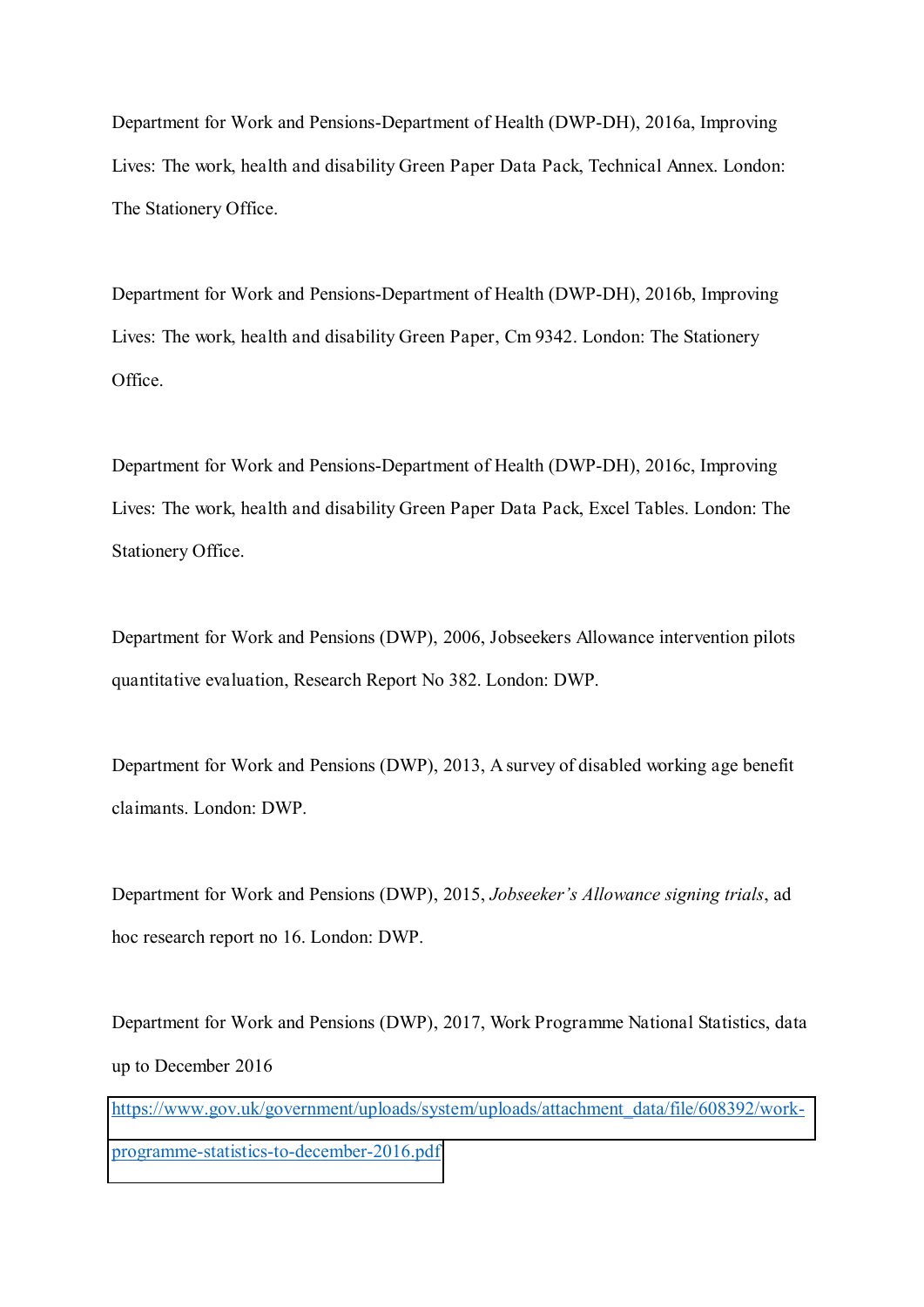Department for Work and Pensions-Department of Health (DWP-DH), 2016a, Improving Lives: The work, health and disability Green Paper Data Pack, Technical Annex. London: The Stationery Office.

Department for Work and Pensions-Department of Health (DWP-DH), 2016b, Improving Lives: The work, health and disability Green Paper, Cm 9342. London: The Stationery Office.

Department for Work and Pensions-Department of Health (DWP-DH), 2016c, Improving Lives: The work, health and disability Green Paper Data Pack, Excel Tables. London: The Stationery Office.

Department for Work and Pensions (DWP), 2006, Jobseekers Allowance intervention pilots quantitative evaluation, Research Report No 382. London: DWP.

Department for Work and Pensions (DWP), 2013, A survey of disabled working age benefit claimants. London: DWP.

Department for Work and Pensions (DWP), 2015, *Jobseeker's Allowance signing trials*, ad hoc research report no 16. London: DWP.

Department for Work and Pensions (DWP), 2017, Work Programme National Statistics, data up to December 2016

[https://www.gov.uk/government/uploads/system/uploads/attachment\\_data/file/608392/work](https://www.gov.uk/government/uploads/system/uploads/attachment_data/file/608392/work-programme-statistics-to-december-2016.pdf)[programme-statistics-to-december-2016.pdf](https://www.gov.uk/government/uploads/system/uploads/attachment_data/file/608392/work-programme-statistics-to-december-2016.pdf)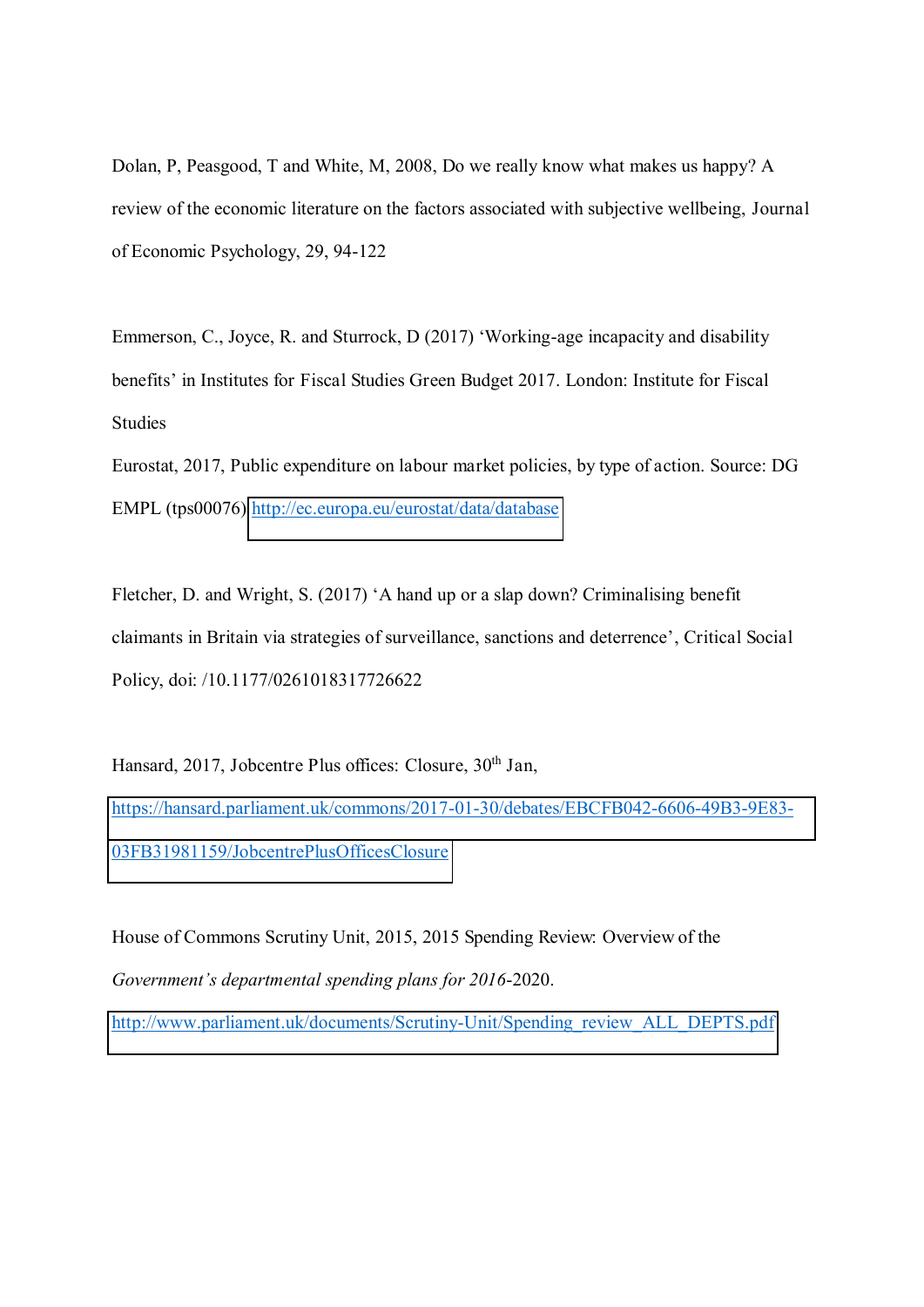Dolan, P, Peasgood, T and White, M, 2008, Do we really know what makes us happy? A review of the economic literature on the factors associated with subjective wellbeing, Journal of Economic Psychology, 29, 94-122

Emmerson, C., Joyce, R. and Sturrock, D  $(2017)$  'Working-age incapacity and disability benefits' in Institutes for Fiscal Studies Green Budget 2017. London: Institute for Fiscal Studies

Eurostat, 2017, Public expenditure on labour market policies, by type of action. Source: DG EMPL (tps00076)<http://ec.europa.eu/eurostat/data/database>

Fletcher, D. and Wright, S. (2017) 'A hand up or a slap down? Criminalising benefit claimants in Britain via strategies of surveillance, sanctions and deterrence', Critical Social Policy, doi: /10.1177/0261018317726622

Hansard, 2017, Jobcentre Plus offices: Closure, 30<sup>th</sup> Jan, [https://hansard.parliament.uk/commons/2017-01-30/debates/EBCFB042-6606-49B3-9E83-](https://hansard.parliament.uk/commons/2017-01-30/debates/EBCFB042-6606-49B3-9E83-03FB31981159/JobcentrePlusOfficesClosure) [03FB31981159/JobcentrePlusOfficesClosure](https://hansard.parliament.uk/commons/2017-01-30/debates/EBCFB042-6606-49B3-9E83-03FB31981159/JobcentrePlusOfficesClosure)

House of Commons Scrutiny Unit, 2015, 2015 Spending Review: Overview of the *Government's departmental spending plans for 2016-2020.* 

[http://www.parliament.uk/documents/Scrutiny-Unit/Spending\\_review\\_ALL\\_DEPTS.pdf](http://www.parliament.uk/documents/Scrutiny-Unit/Spending_review_ALL_DEPTS.pdf)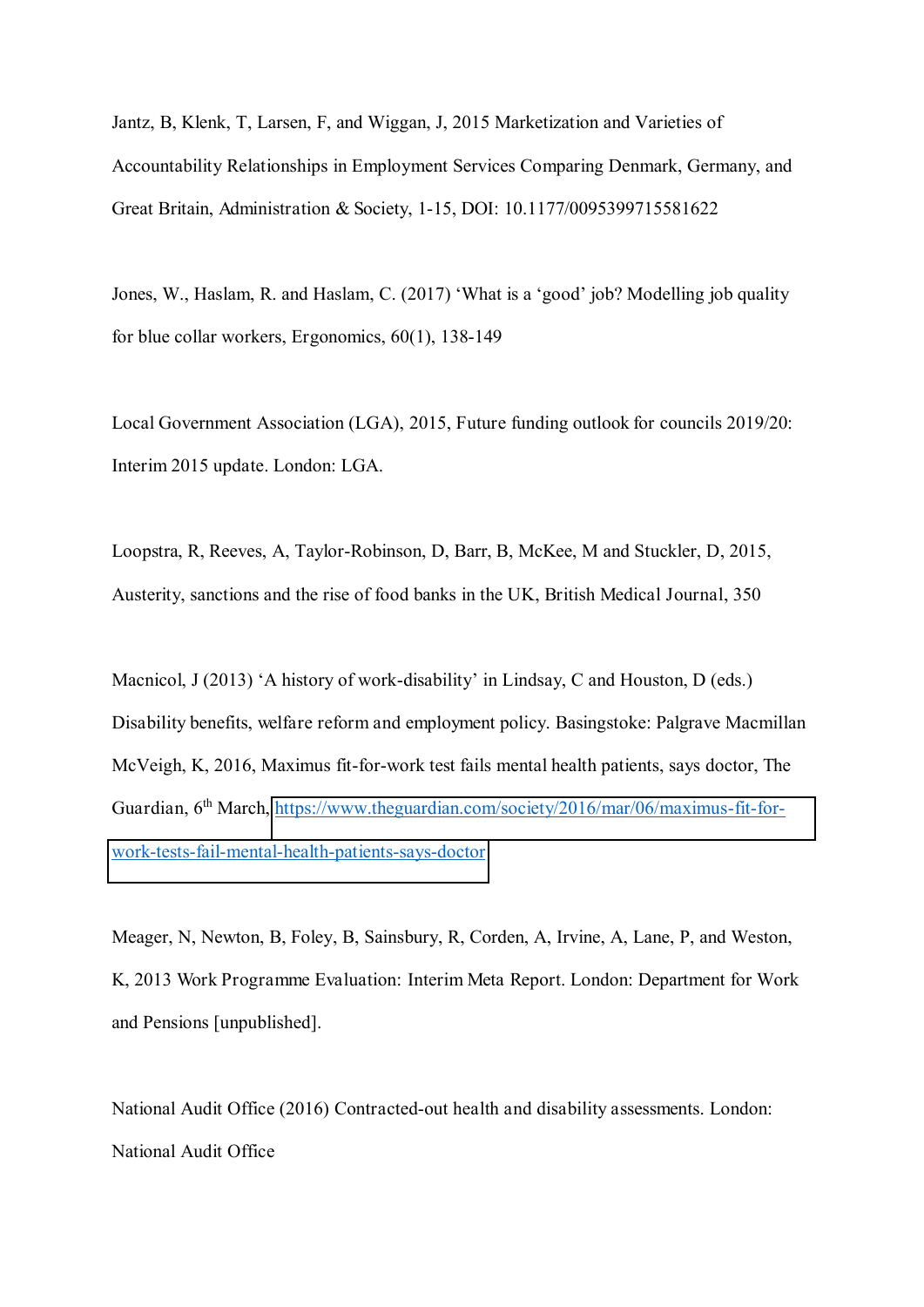Jantz, B, Klenk, T, Larsen, F, and Wiggan, J, 2015 Marketization and Varieties of Accountability Relationships in Employment Services Comparing Denmark, Germany, and Great Britain, Administration & Society, 1-15, DOI: 10.1177/0095399715581622

Jones, W., Haslam, R. and Haslam, C. (2017) 'What is a 'good' job? Modelling job quality for blue collar workers, Ergonomics, 60(1), 138-149

Local Government Association (LGA), 2015, Future funding outlook for councils 2019/20: Interim 2015 update. London: LGA.

Loopstra, R, Reeves, A, Taylor-Robinson, D, Barr, B, McKee, M and Stuckler, D, 2015, Austerity, sanctions and the rise of food banks in the UK, British Medical Journal, 350

Macnicol, J (2013) 'A history of work-disability' in Lindsay, C and Houston, D (eds.) Disability benefits, welfare reform and employment policy. Basingstoke: Palgrave Macmillan McVeigh, K, 2016, Maximus fit-for-work test fails mental health patients, says doctor, The Guardian, 6<sup>th</sup> March, [https://www.theguardian.com/society/2016/mar/06/maximus-fit-for](https://www.theguardian.com/society/2016/mar/06/maximus-fit-for-work-tests-fail-mental-health-patients-says-doctor)[work-tests-fail-mental-health-patients-says-doctor](https://www.theguardian.com/society/2016/mar/06/maximus-fit-for-work-tests-fail-mental-health-patients-says-doctor)

Meager, N, Newton, B, Foley, B, Sainsbury, R, Corden, A, Irvine, A, Lane, P, and Weston, K, 2013 Work Programme Evaluation: Interim Meta Report. London: Department for Work and Pensions [unpublished].

National Audit Office (2016) Contracted-out health and disability assessments. London: National Audit Office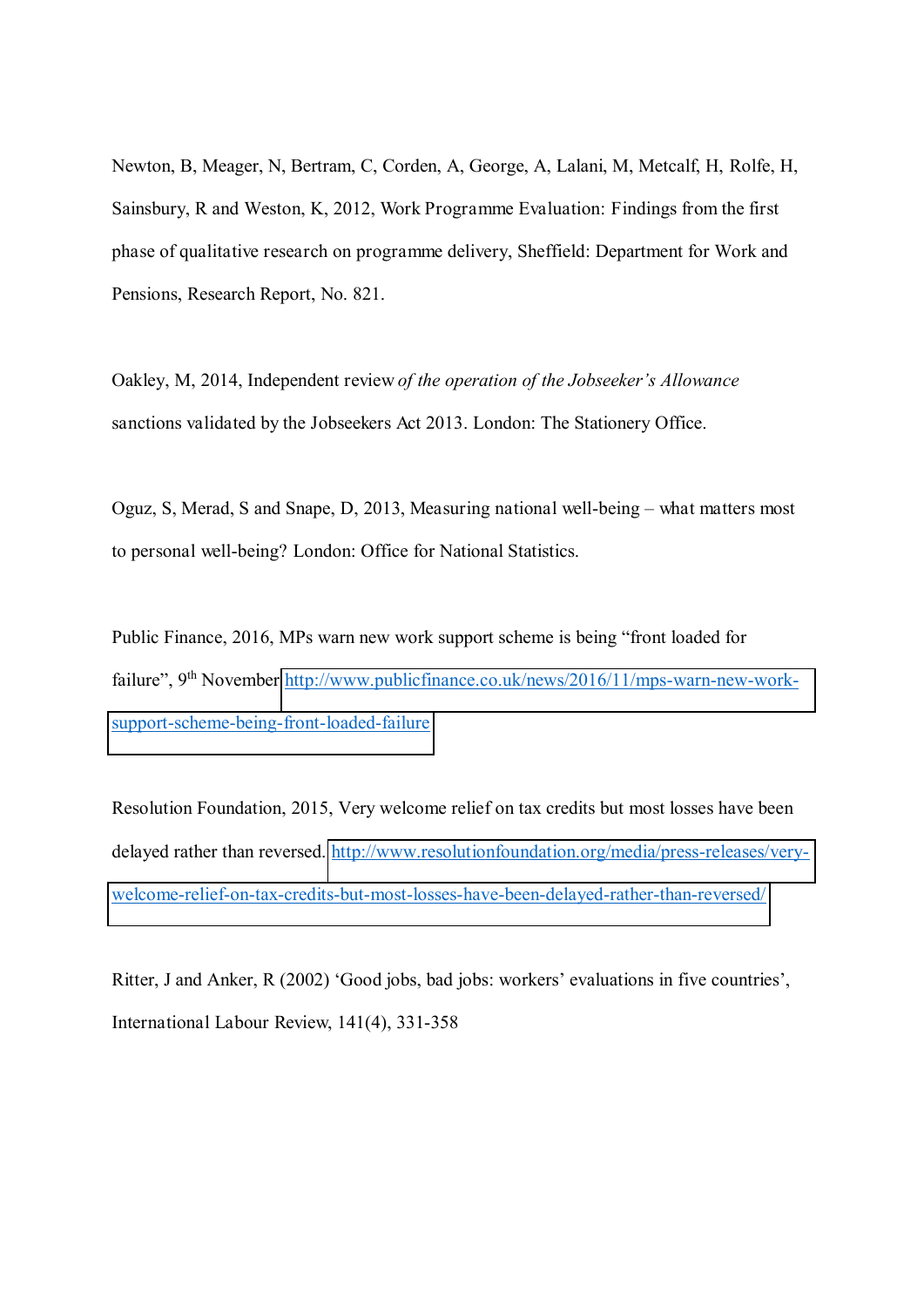Newton, B, Meager, N, Bertram, C, Corden, A, George, A, Lalani, M, Metcalf, H, Rolfe, H, Sainsbury, R and Weston, K, 2012, Work Programme Evaluation: Findings from the first phase of qualitative research on programme delivery, Sheffield: Department for Work and Pensions, Research Report, No. 821.

Oakley, M, 2014, Independent review of the operation of the Jobseeker's Allowance sanctions validated by the Jobseekers Act 2013. London: The Stationery Office.

Oguz, S, Merad, S and Snape, D, 2013, Measuring national well-being – what matters most to personal well-being? London: Office for National Statistics.

Public Finance, 2016, MPs warn new work support scheme is being "front loaded for failure", 9<sup>th</sup> November [http://www.publicfinance.co.uk/news/2016/11/mps-warn-new-work](http://www.publicfinance.co.uk/news/2016/11/mps-warn-new-work-support-scheme-being-front-loaded-failure)[support-scheme-being-front-loaded-failure](http://www.publicfinance.co.uk/news/2016/11/mps-warn-new-work-support-scheme-being-front-loaded-failure) 

Resolution Foundation, 2015, Very welcome relief on tax credits but most losses have been delayed rather than reversed. [http://www.resolutionfoundation.org/media/press-releases/very](http://www.resolutionfoundation.org/media/press-releases/very-welcome-relief-on-tax-credits-but-most-losses-have-been-delayed-rather-than-reversed/)[welcome-relief-on-tax-credits-but-most-losses-have-been-delayed-rather-than-reversed/](http://www.resolutionfoundation.org/media/press-releases/very-welcome-relief-on-tax-credits-but-most-losses-have-been-delayed-rather-than-reversed/)

Ritter, J and Anker, R (2002) 'Good jobs, bad jobs: workers' evaluations in five countries'. International Labour Review, 141(4), 331-358